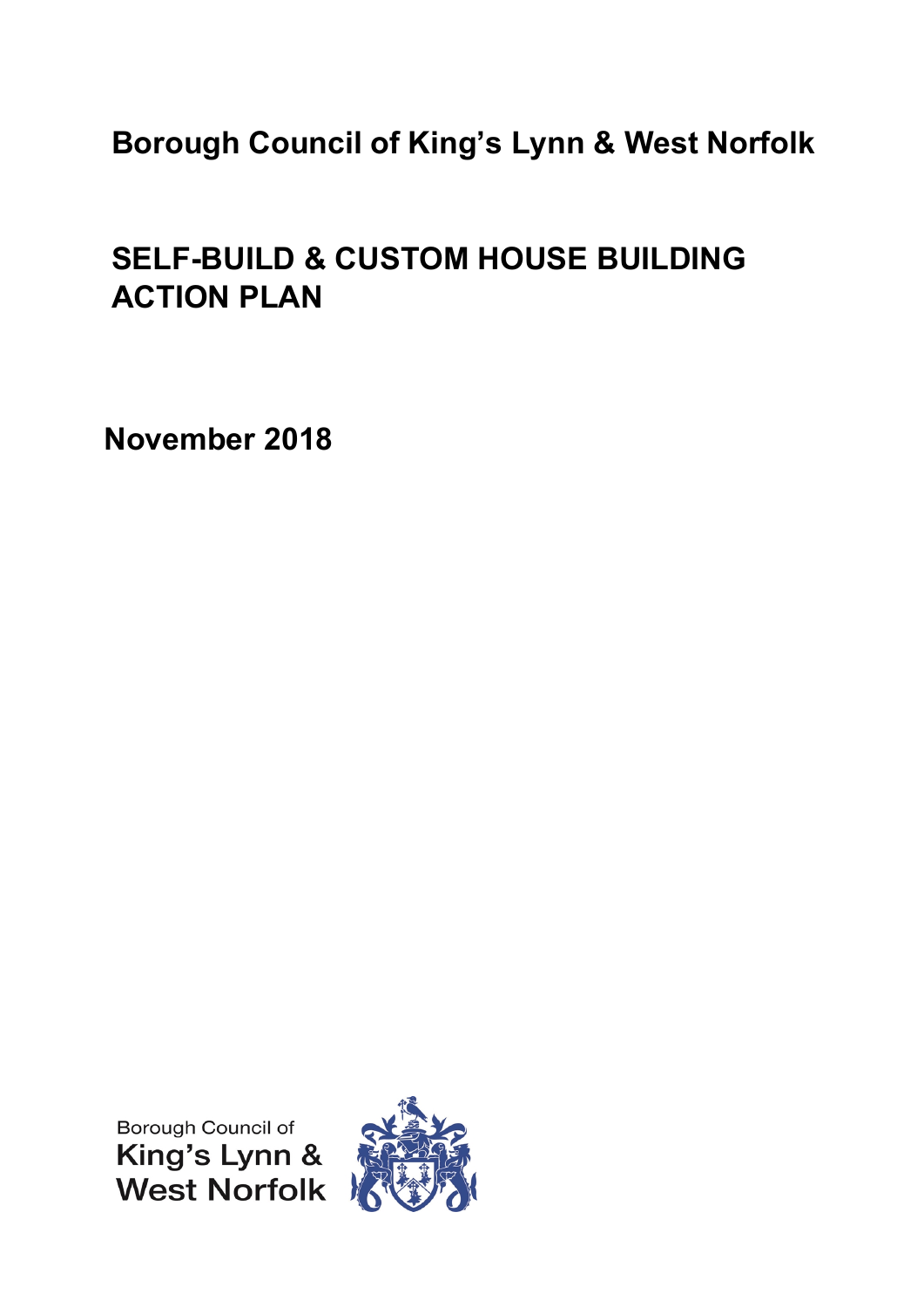# **Borough Council of King's Lynn & West Norfolk**

# **SELF-BUILD & CUSTOM HOUSE BUILDING ACTION PLAN**

**November 2018**

Borough Council of King's Lynn &<br>West Norfolk

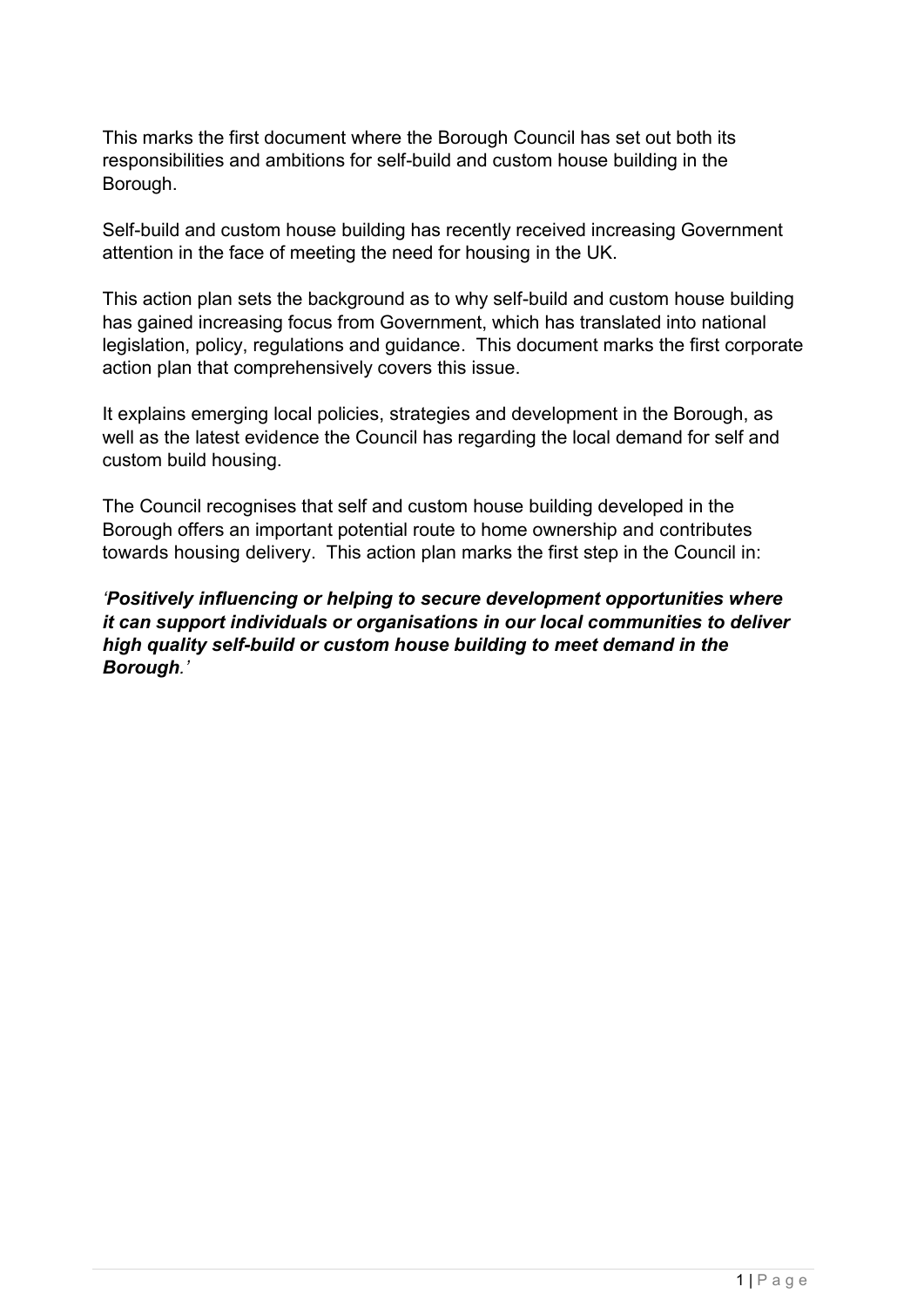This marks the first document where the Borough Council has set out both its responsibilities and ambitions for self-build and custom house building in the Borough.

Self-build and custom house building has recently received increasing Government attention in the face of meeting the need for housing in the UK.

This action plan sets the background as to why self-build and custom house building has gained increasing focus from Government, which has translated into national legislation, policy, regulations and guidance. This document marks the first corporate action plan that comprehensively covers this issue.

It explains emerging local policies, strategies and development in the Borough, as well as the latest evidence the Council has regarding the local demand for self and custom build housing.

The Council recognises that self and custom house building developed in the Borough offers an important potential route to home ownership and contributes towards housing delivery. This action plan marks the first step in the Council in:

*'Positively influencing or helping to secure development opportunities where it can support individuals or organisations in our local communities to deliver high quality self-build or custom house building to meet demand in the Borough.'*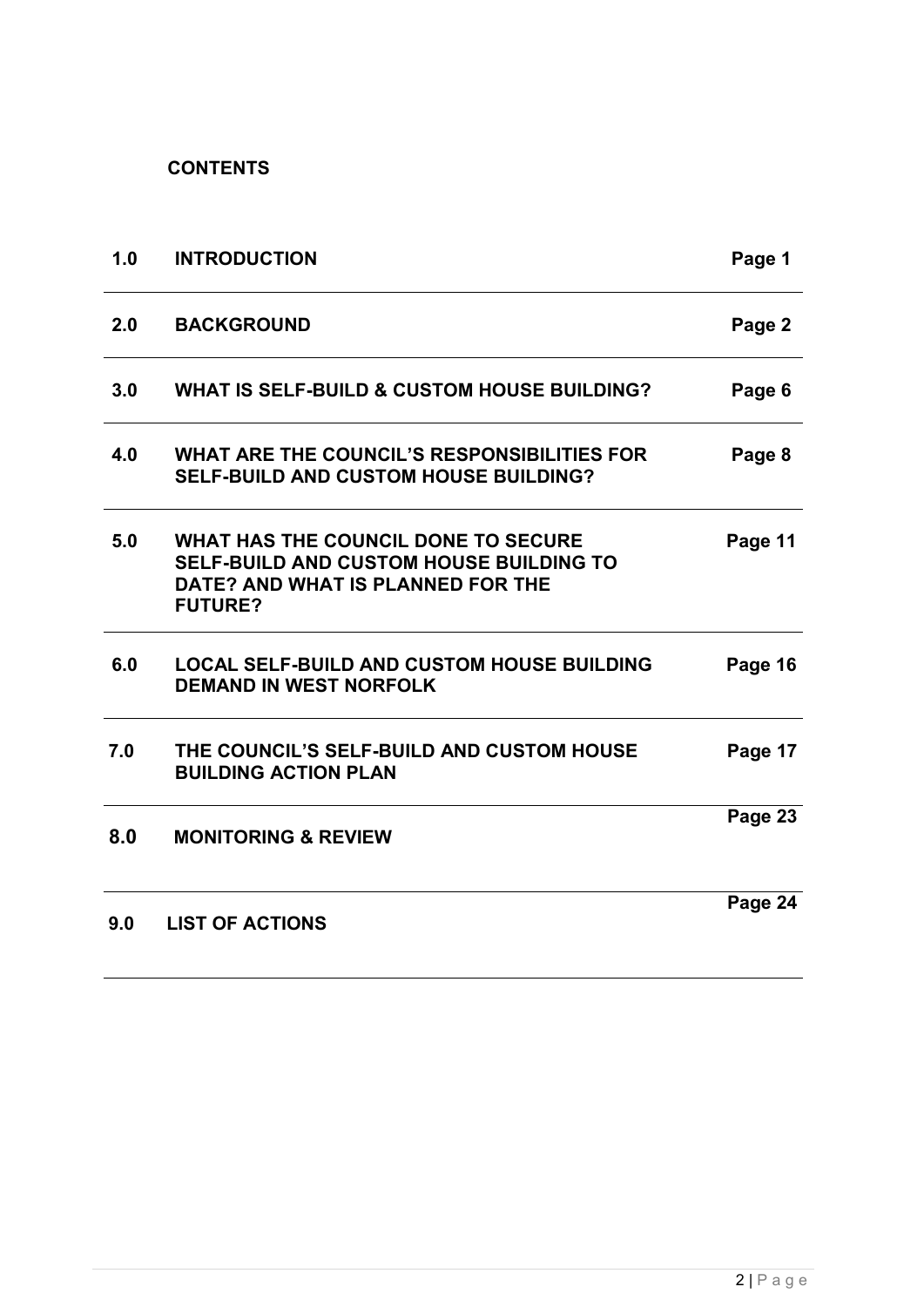**CONTENTS**

| 1.0 | <b>INTRODUCTION</b>                                                                                                                          | Page 1  |
|-----|----------------------------------------------------------------------------------------------------------------------------------------------|---------|
| 2.0 | <b>BACKGROUND</b>                                                                                                                            | Page 2  |
| 3.0 | <b>WHAT IS SELF-BUILD &amp; CUSTOM HOUSE BUILDING?</b>                                                                                       | Page 6  |
| 4.0 | <b>WHAT ARE THE COUNCIL'S RESPONSIBILITIES FOR</b><br><b>SELF-BUILD AND CUSTOM HOUSE BUILDING?</b>                                           | Page 8  |
| 5.0 | WHAT HAS THE COUNCIL DONE TO SECURE<br><b>SELF-BUILD AND CUSTOM HOUSE BUILDING TO</b><br>DATE? AND WHAT IS PLANNED FOR THE<br><b>FUTURE?</b> | Page 11 |
| 6.0 | <b>LOCAL SELF-BUILD AND CUSTOM HOUSE BUILDING</b><br><b>DEMAND IN WEST NORFOLK</b>                                                           | Page 16 |
| 7.0 | THE COUNCIL'S SELF-BUILD AND CUSTOM HOUSE<br><b>BUILDING ACTION PLAN</b>                                                                     | Page 17 |
| 8.0 | <b>MONITORING &amp; REVIEW</b>                                                                                                               | Page 23 |
| 9.0 | <b>LIST OF ACTIONS</b>                                                                                                                       | Page 24 |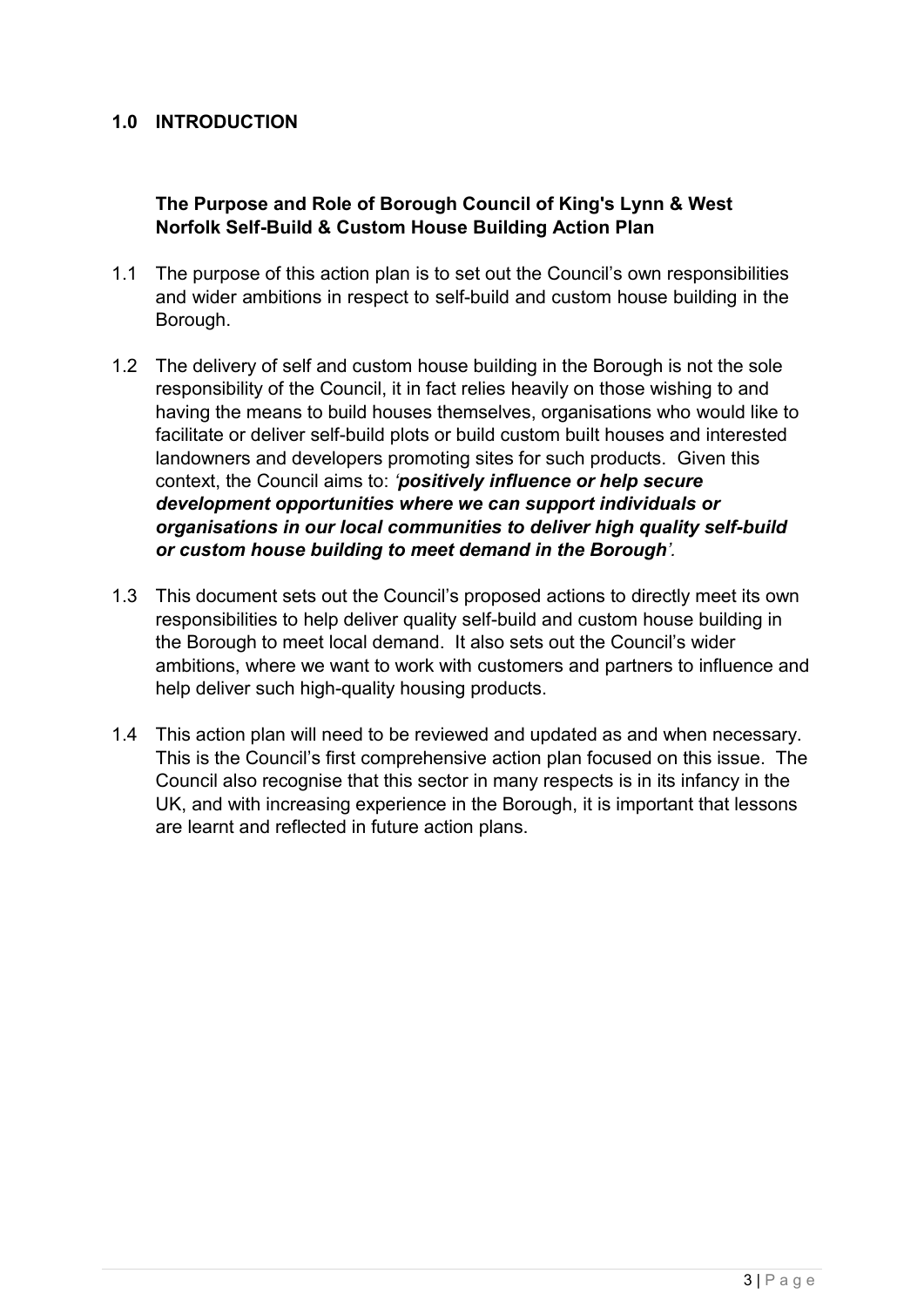## **1.0 INTRODUCTION**

## **The Purpose and Role of Borough Council of King's Lynn & West Norfolk Self-Build & Custom House Building Action Plan**

- 1.1 The purpose of this action plan is to set out the Council's own responsibilities and wider ambitions in respect to self-build and custom house building in the Borough.
- 1.2 The delivery of self and custom house building in the Borough is not the sole responsibility of the Council, it in fact relies heavily on those wishing to and having the means to build houses themselves, organisations who would like to facilitate or deliver self-build plots or build custom built houses and interested landowners and developers promoting sites for such products. Given this context, the Council aims to: *'positively influence or help secure development opportunities where we can support individuals or organisations in our local communities to deliver high quality self-build or custom house building to meet demand in the Borough'.*
- 1.3 This document sets out the Council's proposed actions to directly meet its own responsibilities to help deliver quality self-build and custom house building in the Borough to meet local demand. It also sets out the Council's wider ambitions, where we want to work with customers and partners to influence and help deliver such high-quality housing products.
- 1.4 This action plan will need to be reviewed and updated as and when necessary. This is the Council's first comprehensive action plan focused on this issue. The Council also recognise that this sector in many respects is in its infancy in the UK, and with increasing experience in the Borough, it is important that lessons are learnt and reflected in future action plans.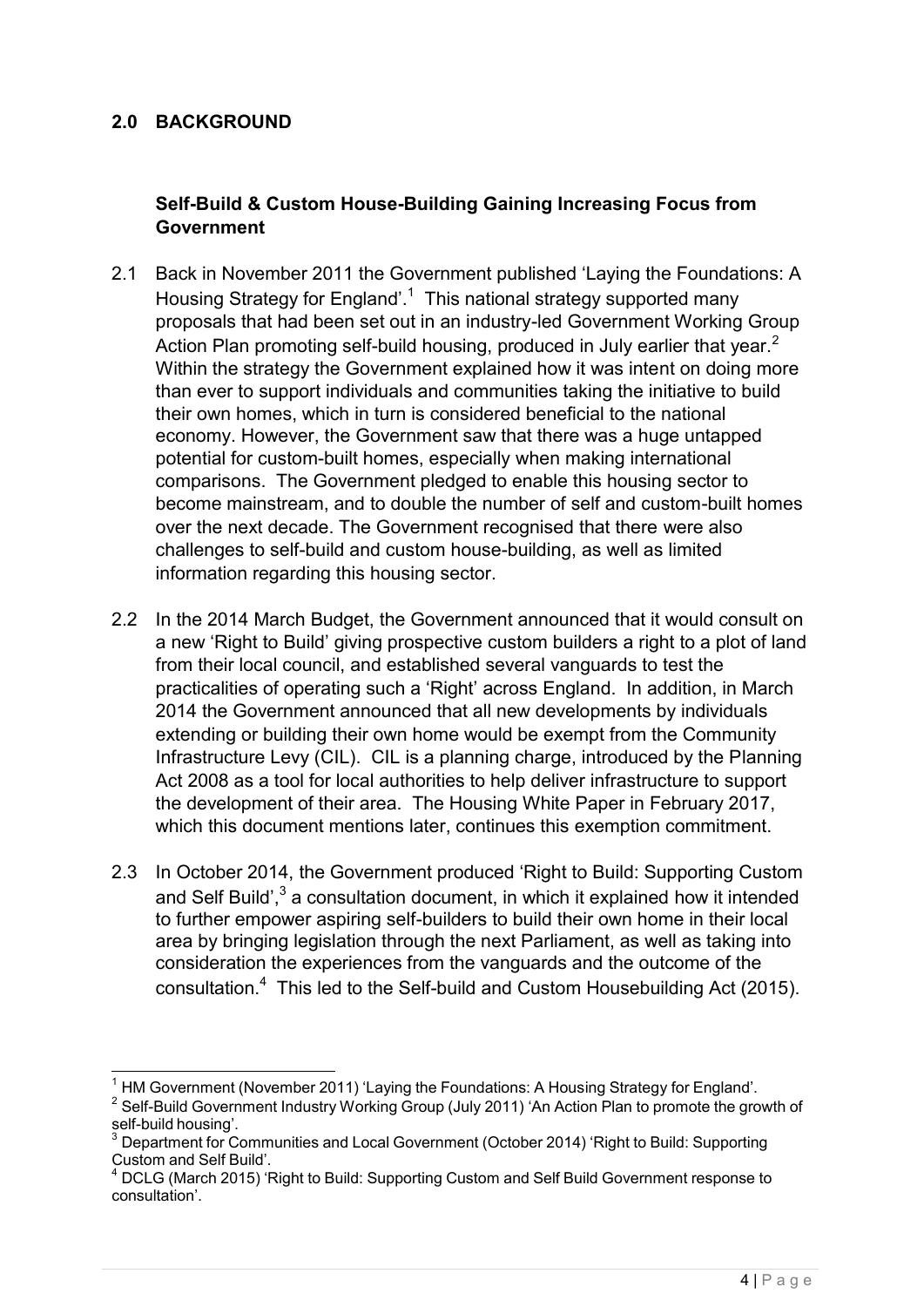## **2.0 BACKGROUND**

## **Self-Build & Custom House-Building Gaining Increasing Focus from Government**

- 2.1 Back in November 2011 the Government published 'Laying the Foundations: A Housing Strategy for England'.<sup>1</sup> This national strategy supported many proposals that had been set out in an industry-led Government Working Group Action Plan promoting self-build housing, produced in July earlier that year.<sup>2</sup> Within the strategy the Government explained how it was intent on doing more than ever to support individuals and communities taking the initiative to build their own homes, which in turn is considered beneficial to the national economy. However, the Government saw that there was a huge untapped potential for custom-built homes, especially when making international comparisons. The Government pledged to enable this housing sector to become mainstream, and to double the number of self and custom-built homes over the next decade. The Government recognised that there were also challenges to self-build and custom house-building, as well as limited information regarding this housing sector.
- 2.2 In the 2014 March Budget, the Government announced that it would consult on a new 'Right to Build' giving prospective custom builders a right to a plot of land from their local council, and established several vanguards to test the practicalities of operating such a 'Right' across England. In addition, in March 2014 the Government announced that all new developments by individuals extending or building their own home would be exempt from the Community Infrastructure Levy (CIL). CIL is a planning charge, introduced by the Planning Act 2008 as a tool for local authorities to help deliver infrastructure to support the development of their area. The Housing White Paper in February 2017, which this document mentions later, continues this exemption commitment.
- 2.3 In October 2014, the Government produced 'Right to Build: Supporting Custom and Self Build',<sup>3</sup> a consultation document, in which it explained how it intended to further empower aspiring self-builders to build their own home in their local area by bringing legislation through the next Parliament, as well as taking into consideration the experiences from the vanguards and the outcome of the consultation.<sup>4</sup> This led to the Self-build and Custom Housebuilding Act (2015).

<sup>&</sup>lt;sup>1</sup> HM Government (November 2011) 'Laying the Foundations: A Housing Strategy for England'.

<sup>&</sup>lt;sup>2</sup> Self-Build Government Industry Working Group (July 2011) 'An Action Plan to promote the growth of self-build housing'.

 $3$  Department for Communities and Local Government (October 2014) 'Right to Build: Supporting Custom and Self Build'.

DCLG (March 2015) 'Right to Build: Supporting Custom and Self Build Government response to consultation'.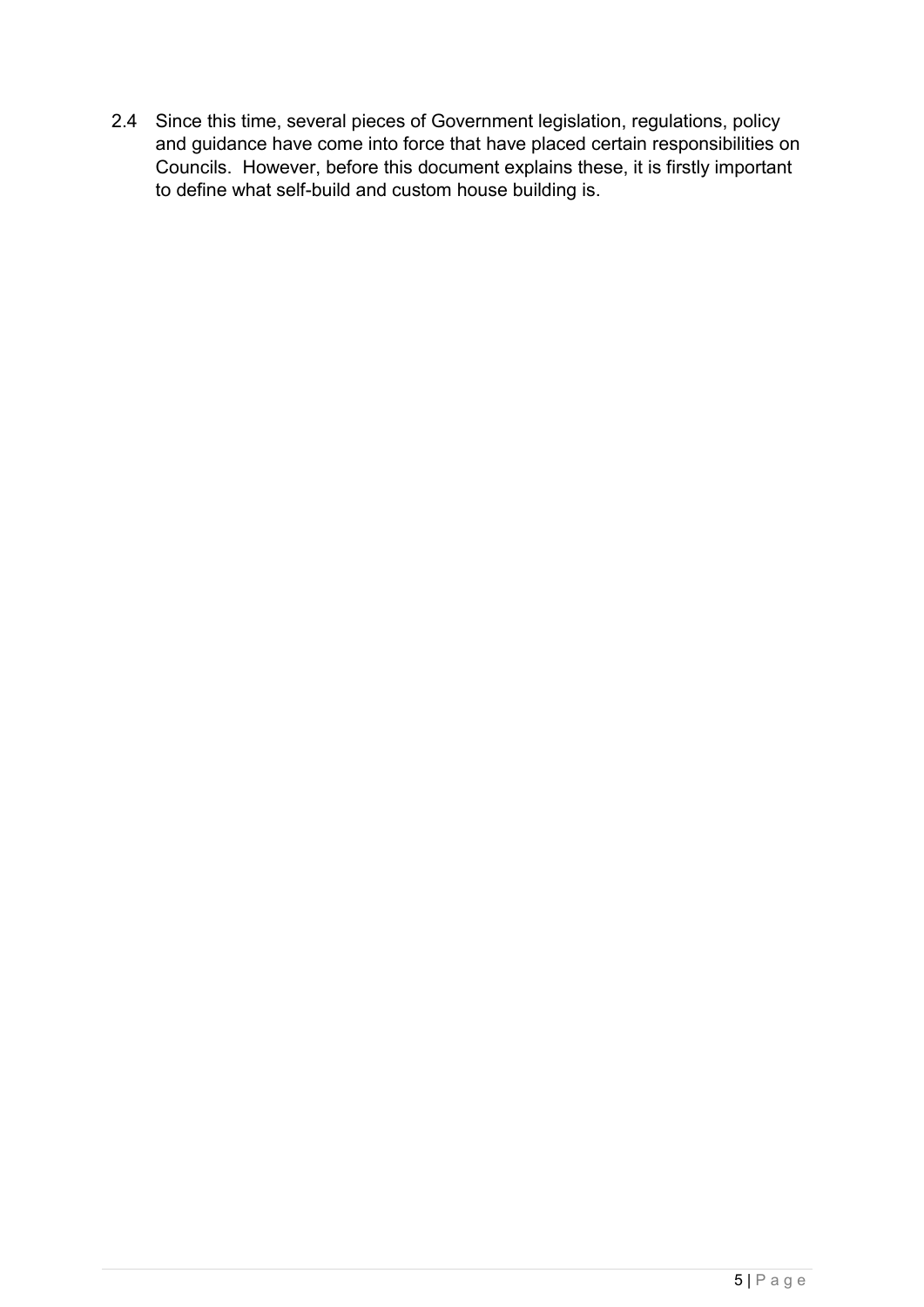2.4 Since this time, several pieces of Government legislation, regulations, policy and guidance have come into force that have placed certain responsibilities on Councils. However, before this document explains these, it is firstly important to define what self-build and custom house building is.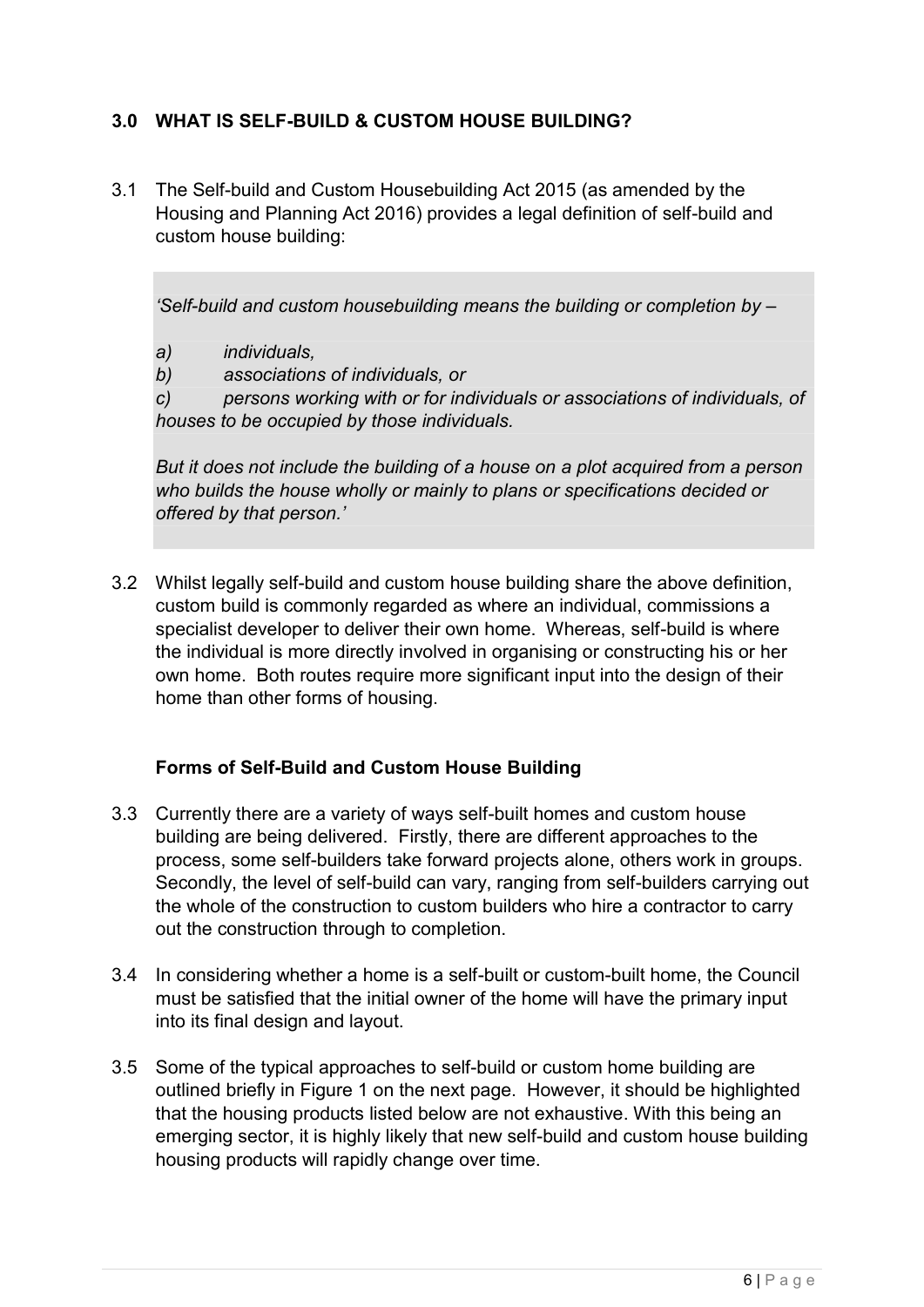## **3.0 WHAT IS SELF-BUILD & CUSTOM HOUSE BUILDING?**

3.1 The Self-build and Custom Housebuilding Act 2015 (as amended by the Housing and Planning Act 2016) provides a legal definition of self-build and custom house building:

*'Self-build and custom housebuilding means the building or completion by –*

- *a) individuals,*
- *b) associations of individuals, or*

*c) persons working with or for individuals or associations of individuals, of houses to be occupied by those individuals.*

*But it does not include the building of a house on a plot acquired from a person who builds the house wholly or mainly to plans or specifications decided or offered by that person.'*

3.2 Whilst legally self-build and custom house building share the above definition, custom build is commonly regarded as where an individual, commissions a specialist developer to deliver their own home. Whereas, self-build is where the individual is more directly involved in organising or constructing his or her own home. Both routes require more significant input into the design of their home than other forms of housing.

## **Forms of Self-Build and Custom House Building**

- 3.3 Currently there are a variety of ways self-built homes and custom house building are being delivered. Firstly, there are different approaches to the process, some self-builders take forward projects alone, others work in groups. Secondly, the level of self-build can vary, ranging from self-builders carrying out the whole of the construction to custom builders who hire a contractor to carry out the construction through to completion.
- 3.4 In considering whether a home is a self-built or custom-built home, the Council must be satisfied that the initial owner of the home will have the primary input into its final design and layout.
- 3.5 Some of the typical approaches to self-build or custom home building are outlined briefly in Figure 1 on the next page. However, it should be highlighted that the housing products listed below are not exhaustive. With this being an emerging sector, it is highly likely that new self-build and custom house building housing products will rapidly change over time.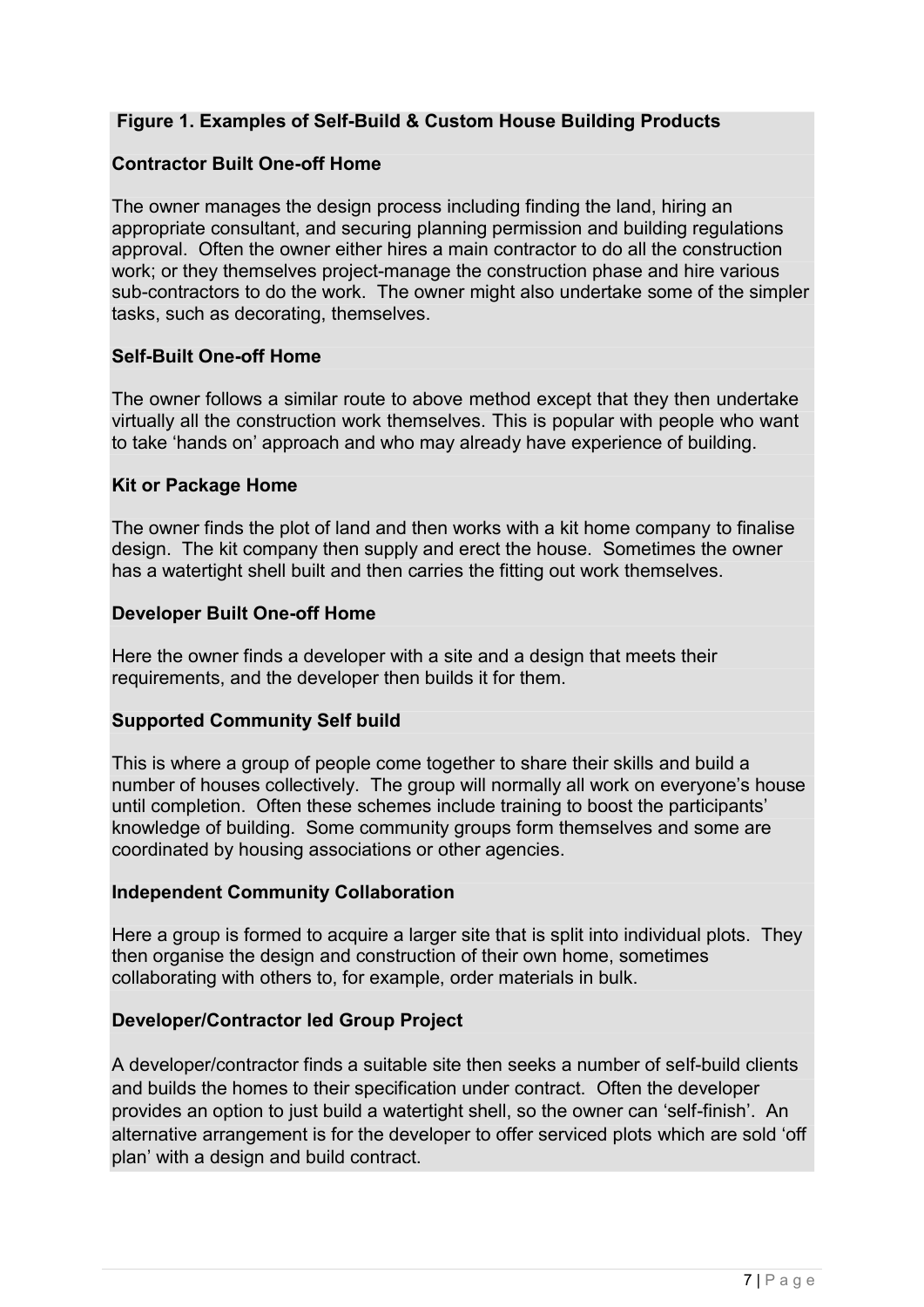## **Figure 1. Examples of Self-Build & Custom House Building Products**

## **Contractor Built One-off Home**

The owner manages the design process including finding the land, hiring an appropriate consultant, and securing planning [permission](https://www.bedford.gov.uk/environment_and_planning/planning_town_and_country/do_i_need_planning_permission.aspx) and building [regulations](https://www.bedford.gov.uk/environment_and_planning/building_control/what_application_should_i_use.aspx) [approval.](https://www.bedford.gov.uk/environment_and_planning/building_control/what_application_should_i_use.aspx) Often the owner either hires a main contractor to do all the construction work; or they themselves project-manage the construction phase and hire various sub-contractors to do the work. The owner might also undertake some of the simpler tasks, such as decorating, themselves.

## **Self-Built One-off Home**

The owner follows a similar route to above method except that they then undertake virtually all the construction work themselves. This is popular with people who want to take 'hands on' approach and who may already have experience of building.

## **Kit or Package Home**

The owner finds the plot of land and then works with a kit home company to finalise design. The kit company then supply and erect the house. Sometimes the owner has a watertight shell built and then carries the fitting out work themselves.

#### **Developer Built One-off Home**

Here the owner finds a developer with a site and a design that meets their requirements, and the developer then builds it for them.

## **Supported Community Self build**

This is where a group of people come together to share their skills and build a number of houses collectively. The group will normally all work on everyone's house until completion. Often these schemes include training to boost the participants' knowledge of building. Some community groups form themselves and some are coordinated by housing associations or other agencies.

#### **Independent Community Collaboration**

Here a group is formed to acquire a larger site that is split into individual plots. They then organise the design and construction of their own home, sometimes collaborating with others to, for example, order materials in bulk.

#### **Developer/Contractor led Group Project**

A developer/contractor finds a suitable site then seeks a number of self-build clients and builds the homes to their specification under contract. Often the developer provides an option to just build a watertight shell, so the owner can 'self-finish'. An alternative arrangement is for the developer to offer serviced plots which are sold 'off plan' with a design and build contract.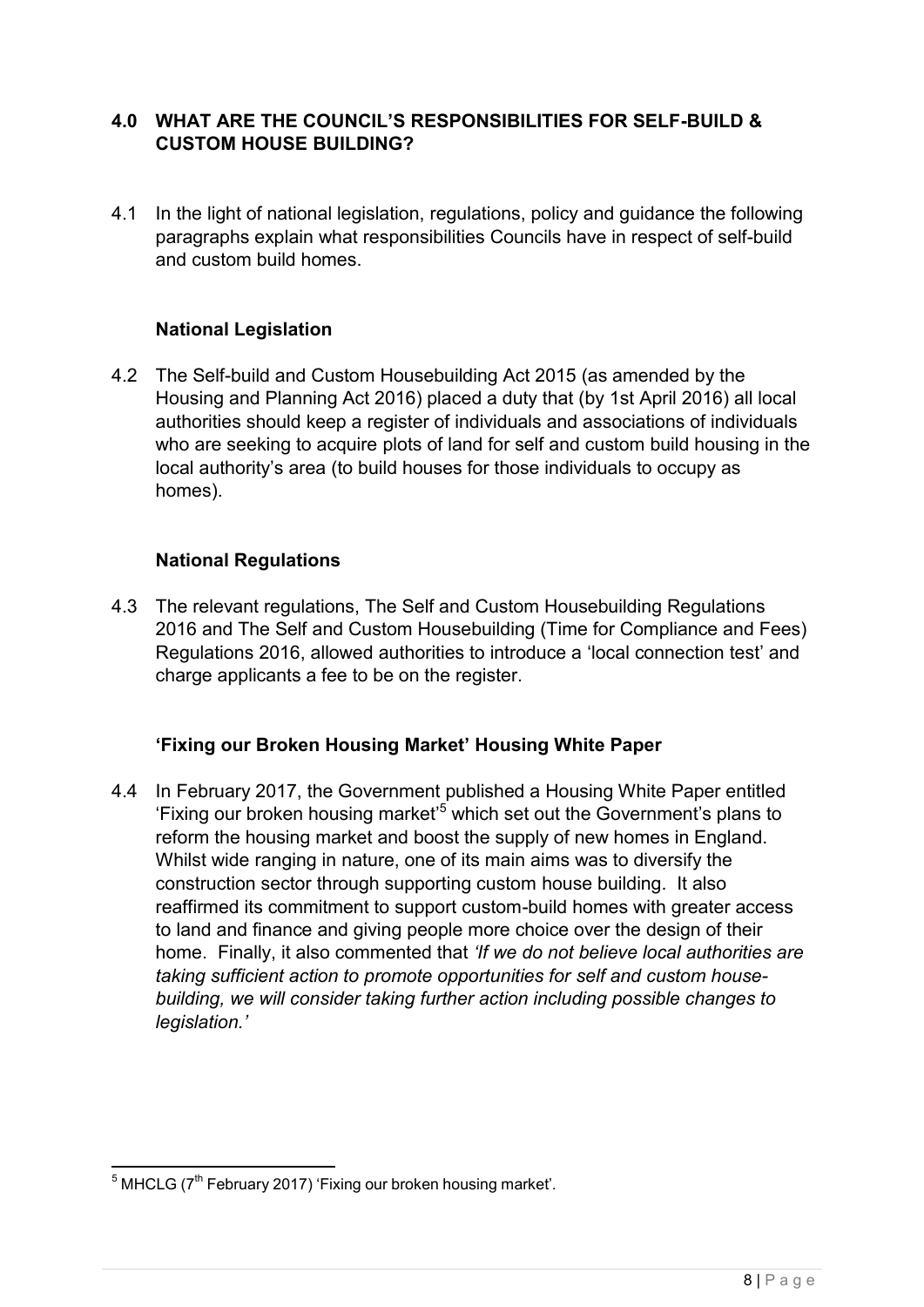## **4.0 WHAT ARE THE COUNCIL'S RESPONSIBILITIES FOR SELF-BUILD & CUSTOM HOUSE BUILDING?**

4.1 In the light of national legislation, regulations, policy and guidance the following paragraphs explain what responsibilities Councils have in respect of self-build and custom build homes.

## **National Legislation**

4.2 The Self-build and Custom Housebuilding Act 2015 (as amended by the Housing and Planning Act 2016) placed a duty that (by 1st April 2016) all local authorities should keep a register of individuals and associations of individuals who are seeking to acquire plots of land for self and custom build housing in the local authority's area (to build houses for those individuals to occupy as homes).

## **National Regulations**

4.3 The relevant regulations, The Self and Custom Housebuilding Regulations 2016 and The Self and Custom Housebuilding (Time for Compliance and Fees) Regulations 2016, allowed authorities to introduce a 'local connection test' and charge applicants a fee to be on the register.

## **'Fixing our Broken Housing Market' Housing White Paper**

4.4 In February 2017, the Government published a Housing White Paper entitled 'Fixing our broken housing market'<sup>5</sup> which set out the Government's plans to reform the housing market and boost the supply of new homes in England. Whilst wide ranging in nature, one of its main aims was to diversify the construction sector through supporting custom house building. It also reaffirmed its commitment to support custom-build homes with greater access to land and finance and giving people more choice over the design of their home. Finally, it also commented that *'If we do not believe local authorities are taking sufficient action to promote opportunities for self and custom housebuilding, we will consider taking further action including possible changes to legislation.'*

 $5$  MHCLG ( $7<sup>th</sup>$  February 2017) 'Fixing our broken housing market'.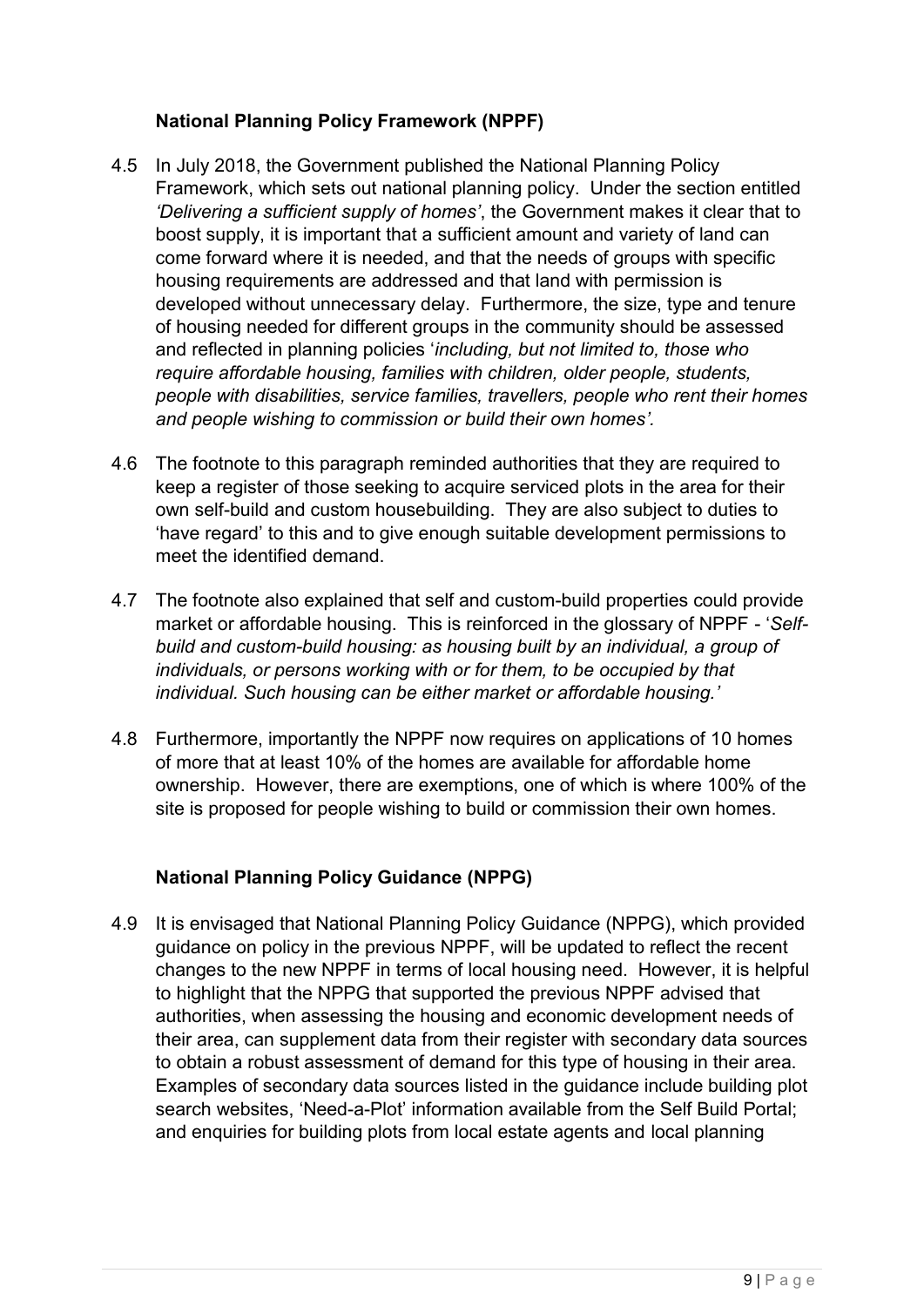## **National Planning Policy Framework (NPPF)**

- 4.5 In July 2018, the Government published the National Planning Policy Framework, which sets out national planning policy. Under the section entitled *'Delivering a sufficient supply of homes'*, the Government makes it clear that to boost supply, it is important that a sufficient amount and variety of land can come forward where it is needed, and that the needs of groups with specific housing requirements are addressed and that land with permission is developed without unnecessary delay. Furthermore, the size, type and tenure of housing needed for different groups in the community should be assessed and reflected in planning policies '*including, but not limited to, those who require affordable housing, families with children, older people, students, people with disabilities, service families, travellers, people who rent their homes and people wishing to commission or build their own homes'.*
- 4.6 The footnote to this paragraph reminded authorities that they are required to keep a register of those seeking to acquire serviced plots in the area for their own self-build and custom housebuilding. They are also subject to duties to 'have regard' to this and to give enough suitable development permissions to meet the identified demand.
- 4.7 The footnote also explained that self and custom-build properties could provide market or affordable housing. This is reinforced in the glossary of NPPF - '*Selfbuild and custom-build housing: as housing built by an individual, a group of individuals, or persons working with or for them, to be occupied by that individual. Such housing can be either market or affordable housing.'*
- 4.8 Furthermore, importantly the NPPF now requires on applications of 10 homes of more that at least 10% of the homes are available for affordable home ownership. However, there are exemptions, one of which is where 100% of the site is proposed for people wishing to build or commission their own homes.

# **National Planning Policy Guidance (NPPG)**

4.9 It is envisaged that National Planning Policy Guidance (NPPG), which provided guidance on policy in the previous NPPF, will be updated to reflect the recent changes to the new NPPF in terms of local housing need. However, it is helpful to highlight that the NPPG that supported the previous NPPF advised that authorities, when assessing the housing and economic development needs of their area, can supplement data from their register with secondary data sources to obtain a robust assessment of demand for this type of housing in their area. Examples of secondary data sources listed in the guidance include building plot search websites, 'Need-a-Plot' information available from the Self Build Portal; and enquiries for building plots from local estate agents and local planning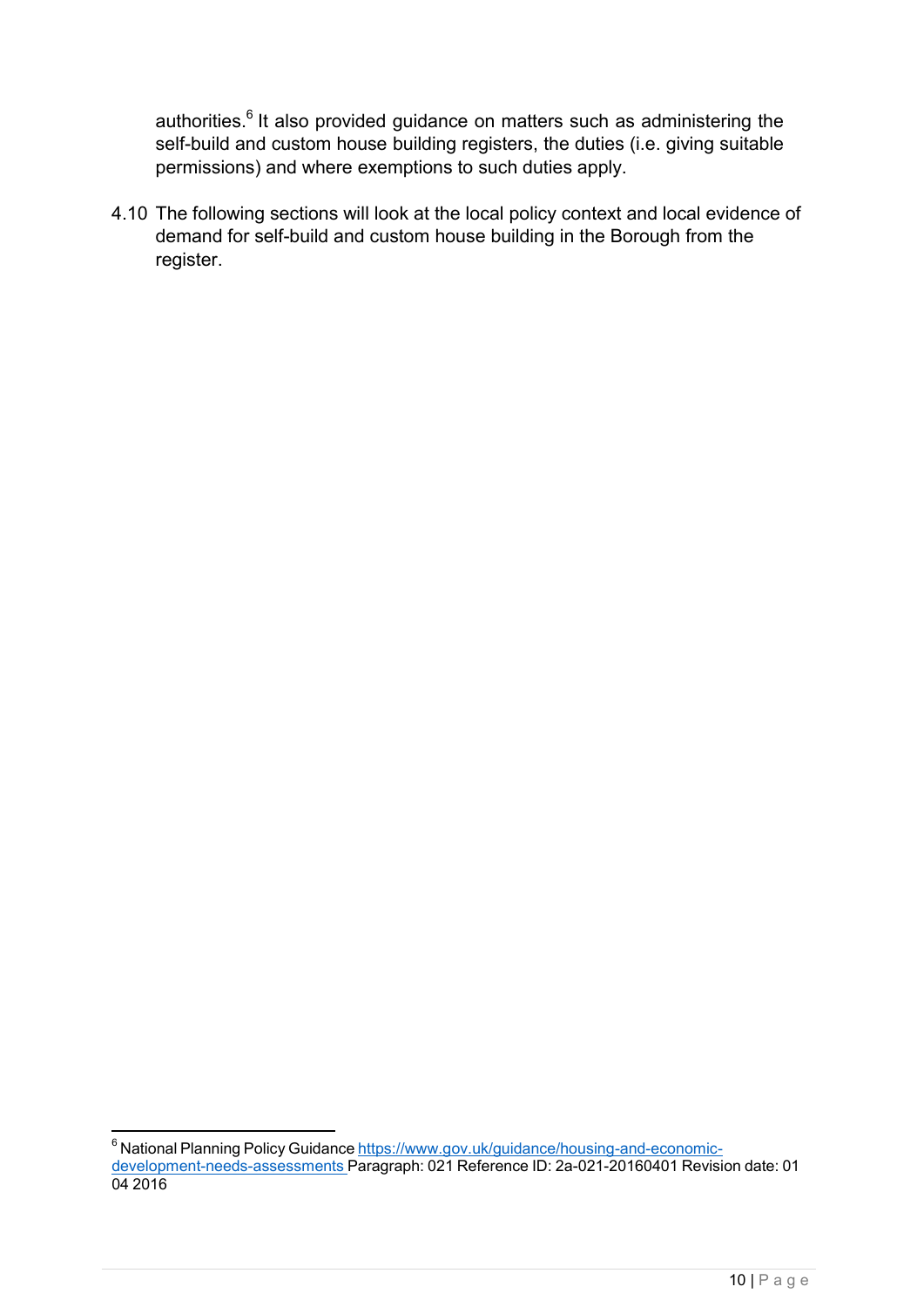authorities.<sup>6</sup> It also provided guidance on matters such as administering the self-build and custom house building registers, the duties (i.e. giving suitable permissions) and where exemptions to such duties apply.

4.10 The following sections will look at the local policy context and local evidence of demand for self-build and custom house building in the Borough from the register.

<sup>&</sup>lt;sup>6</sup> National Planning Policy Guidance [https://www.gov.uk/guidance/housing-and-economic](https://www.gov.uk/guidance/housing-and-economic-development-needs-assessments)[development-needs-assessments](https://www.gov.uk/guidance/housing-and-economic-development-needs-assessments) Paragraph: 021 Reference ID: 2a-021-20160401 Revision date: 01 04 2016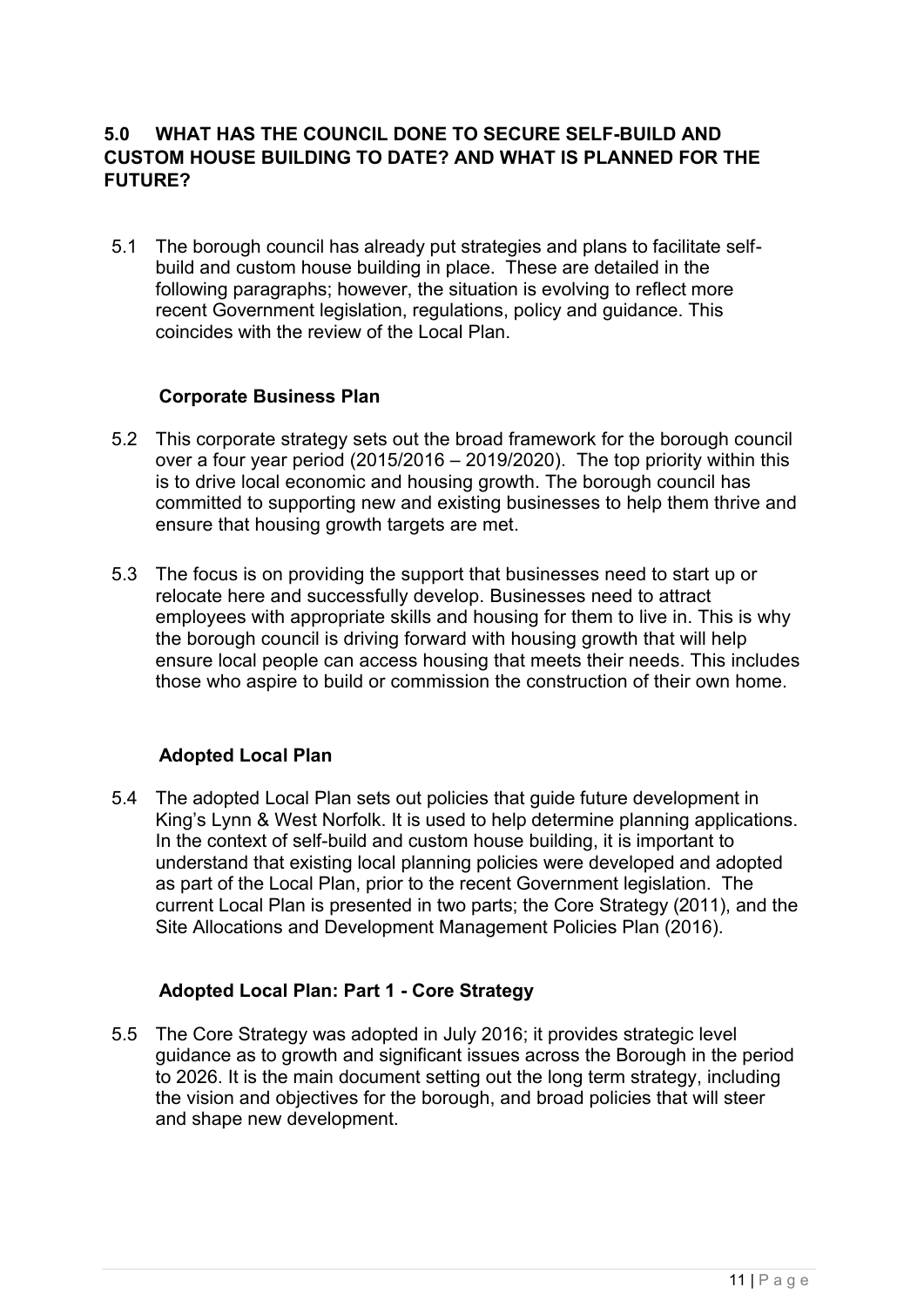## **5.0 WHAT HAS THE COUNCIL DONE TO SECURE SELF-BUILD AND CUSTOM HOUSE BUILDING TO DATE? AND WHAT IS PLANNED FOR THE FUTURE?**

5.1 The borough council has already put strategies and plans to facilitate selfbuild and custom house building in place. These are detailed in the following paragraphs; however, the situation is evolving to reflect more recent Government legislation, regulations, policy and guidance. This coincides with the review of the Local Plan.

#### **Corporate Business Plan**

- 5.2 This corporate strategy sets out the broad framework for the borough council over a four year period (2015/2016 – 2019/2020). The top priority within this is to drive local economic and housing growth. The borough council has committed to supporting new and existing businesses to help them thrive and ensure that housing growth targets are met.
- 5.3 The focus is on providing the support that businesses need to start up or relocate here and successfully develop. Businesses need to attract employees with appropriate skills and housing for them to live in. This is why the borough council is driving forward with housing growth that will help ensure local people can access housing that meets their needs. This includes those who aspire to build or commission the construction of their own home.

## **Adopted Local Plan**

5.4 The adopted Local Plan sets out policies that guide future development in King's Lynn & West Norfolk. It is used to help determine planning applications. In the context of self-build and custom house building, it is important to understand that existing local planning policies were developed and adopted as part of the Local Plan, prior to the recent Government legislation. The current Local Plan is presented in two parts; the Core Strategy (2011), and the Site Allocations and Development Management Policies Plan (2016).

#### **Adopted Local Plan: Part 1 - Core Strategy**

5.5 The Core Strategy was adopted in July 2016; it provides strategic level guidance as to growth and significant issues across the Borough in the period to 2026. It is the main document setting out the long term strategy, including the vision and objectives for the borough, and broad policies that will steer and shape new development.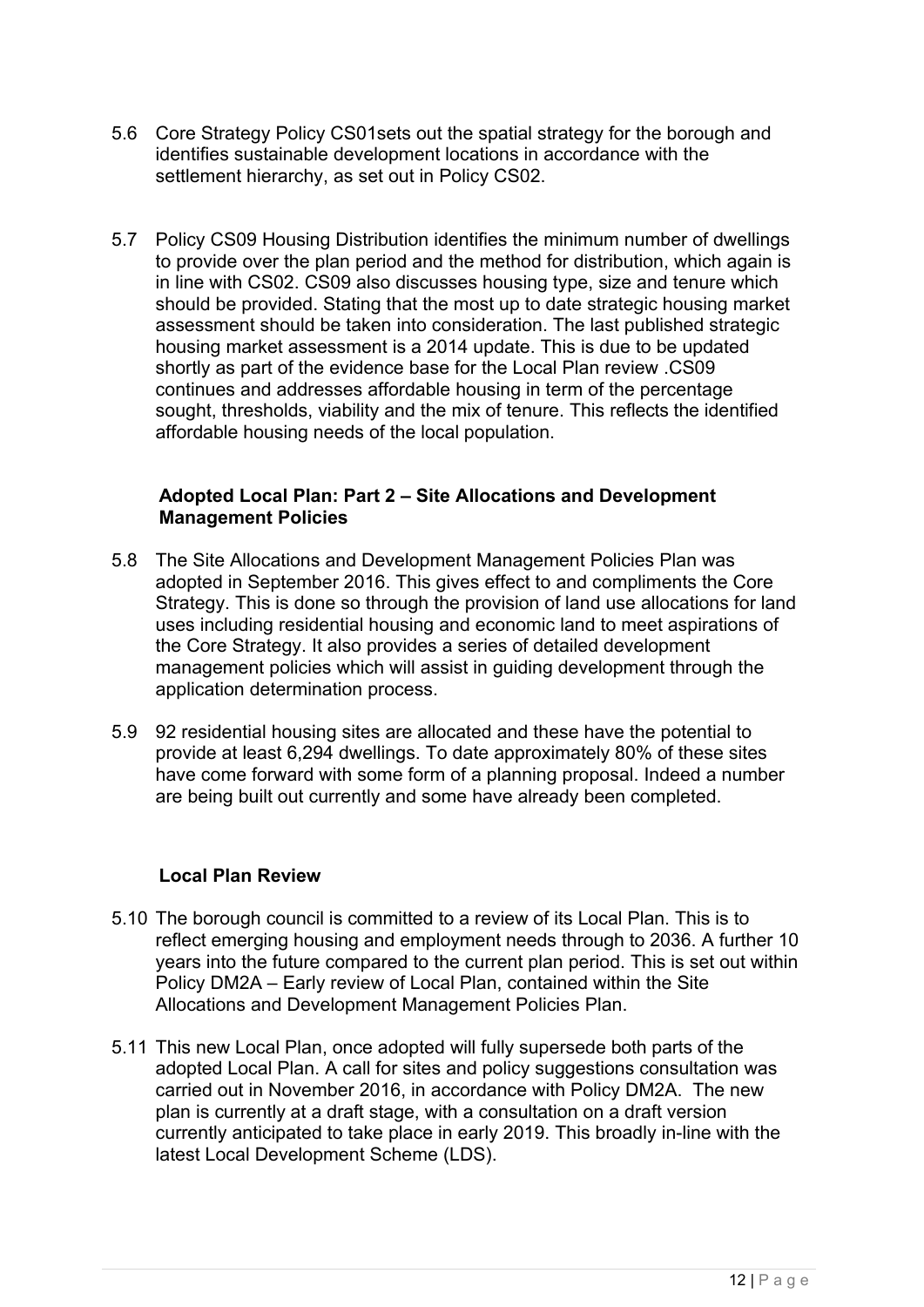- 5.6 Core Strategy Policy CS01sets out the spatial strategy for the borough and identifies sustainable development locations in accordance with the settlement hierarchy, as set out in Policy CS02.
- 5.7 Policy CS09 Housing Distribution identifies the minimum number of dwellings to provide over the plan period and the method for distribution, which again is in line with CS02. CS09 also discusses housing type, size and tenure which should be provided. Stating that the most up to date strategic housing market assessment should be taken into consideration. The last published strategic housing market assessment is a 2014 update. This is due to be updated shortly as part of the evidence base for the Local Plan review .CS09 continues and addresses affordable housing in term of the percentage sought, thresholds, viability and the mix of tenure. This reflects the identified affordable housing needs of the local population.

#### **Adopted Local Plan: Part 2 – Site Allocations and Development Management Policies**

- 5.8 The Site Allocations and Development Management Policies Plan was adopted in September 2016. This gives effect to and compliments the Core Strategy. This is done so through the provision of land use allocations for land uses including residential housing and economic land to meet aspirations of the Core Strategy. It also provides a series of detailed development management policies which will assist in guiding development through the application determination process.
- 5.9 92 residential housing sites are allocated and these have the potential to provide at least 6,294 dwellings. To date approximately 80% of these sites have come forward with some form of a planning proposal. Indeed a number are being built out currently and some have already been completed.

#### **Local Plan Review**

- 5.10 The borough council is committed to a review of its Local Plan. This is to reflect emerging housing and employment needs through to 2036. A further 10 years into the future compared to the current plan period. This is set out within Policy DM2A – Early review of Local Plan, contained within the Site Allocations and Development Management Policies Plan.
- 5.11 This new Local Plan, once adopted will fully supersede both parts of the adopted Local Plan. A call for sites and policy suggestions consultation was carried out in November 2016, in accordance with Policy DM2A. The new plan is currently at a draft stage, with a consultation on a draft version currently anticipated to take place in early 2019. This broadly in-line with the latest Local Development Scheme (LDS).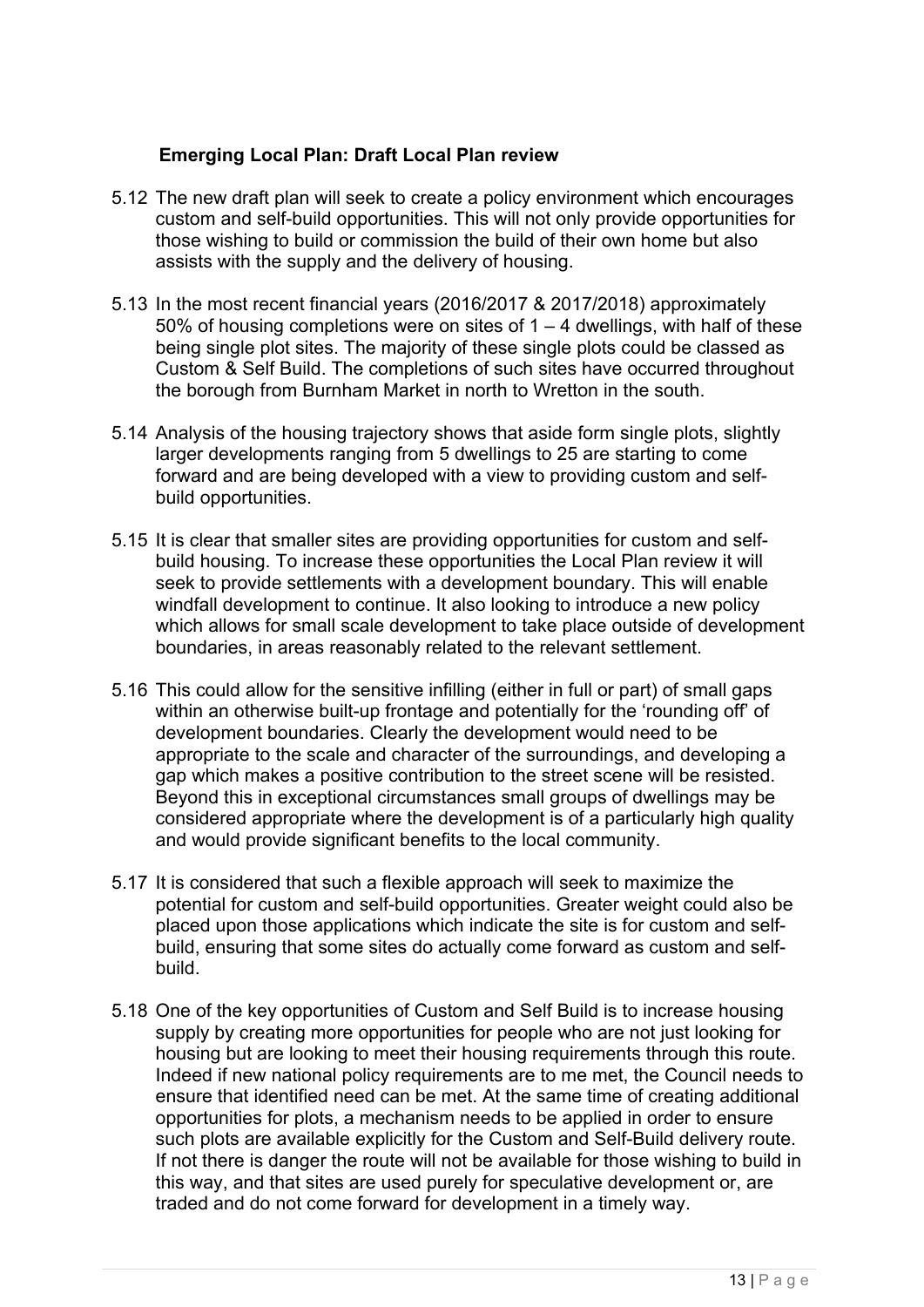## **Emerging Local Plan: Draft Local Plan review**

- 5.12 The new draft plan will seek to create a policy environment which encourages custom and self-build opportunities. This will not only provide opportunities for those wishing to build or commission the build of their own home but also assists with the supply and the delivery of housing.
- 5.13 In the most recent financial years (2016/2017 & 2017/2018) approximately 50% of housing completions were on sites of  $1 - 4$  dwellings, with half of these being single plot sites. The majority of these single plots could be classed as Custom & Self Build. The completions of such sites have occurred throughout the borough from Burnham Market in north to Wretton in the south.
- 5.14 Analysis of the housing trajectory shows that aside form single plots, slightly larger developments ranging from 5 dwellings to 25 are starting to come forward and are being developed with a view to providing custom and selfbuild opportunities.
- 5.15 It is clear that smaller sites are providing opportunities for custom and selfbuild housing. To increase these opportunities the Local Plan review it will seek to provide settlements with a development boundary. This will enable windfall development to continue. It also looking to introduce a new policy which allows for small scale development to take place outside of development boundaries, in areas reasonably related to the relevant settlement.
- 5.16 This could allow for the sensitive infilling (either in full or part) of small gaps within an otherwise built-up frontage and potentially for the 'rounding off' of development boundaries. Clearly the development would need to be appropriate to the scale and character of the surroundings, and developing a gap which makes a positive contribution to the street scene will be resisted. Beyond this in exceptional circumstances small groups of dwellings may be considered appropriate where the development is of a particularly high quality and would provide significant benefits to the local community.
- 5.17 It is considered that such a flexible approach will seek to maximize the potential for custom and self-build opportunities. Greater weight could also be placed upon those applications which indicate the site is for custom and selfbuild, ensuring that some sites do actually come forward as custom and selfbuild.
- 5.18 One of the key opportunities of Custom and Self Build is to increase housing supply by creating more opportunities for people who are not just looking for housing but are looking to meet their housing requirements through this route. Indeed if new national policy requirements are to me met, the Council needs to ensure that identified need can be met. At the same time of creating additional opportunities for plots, a mechanism needs to be applied in order to ensure such plots are available explicitly for the Custom and Self-Build delivery route. If not there is danger the route will not be available for those wishing to build in this way, and that sites are used purely for speculative development or, are traded and do not come forward for development in a timely way.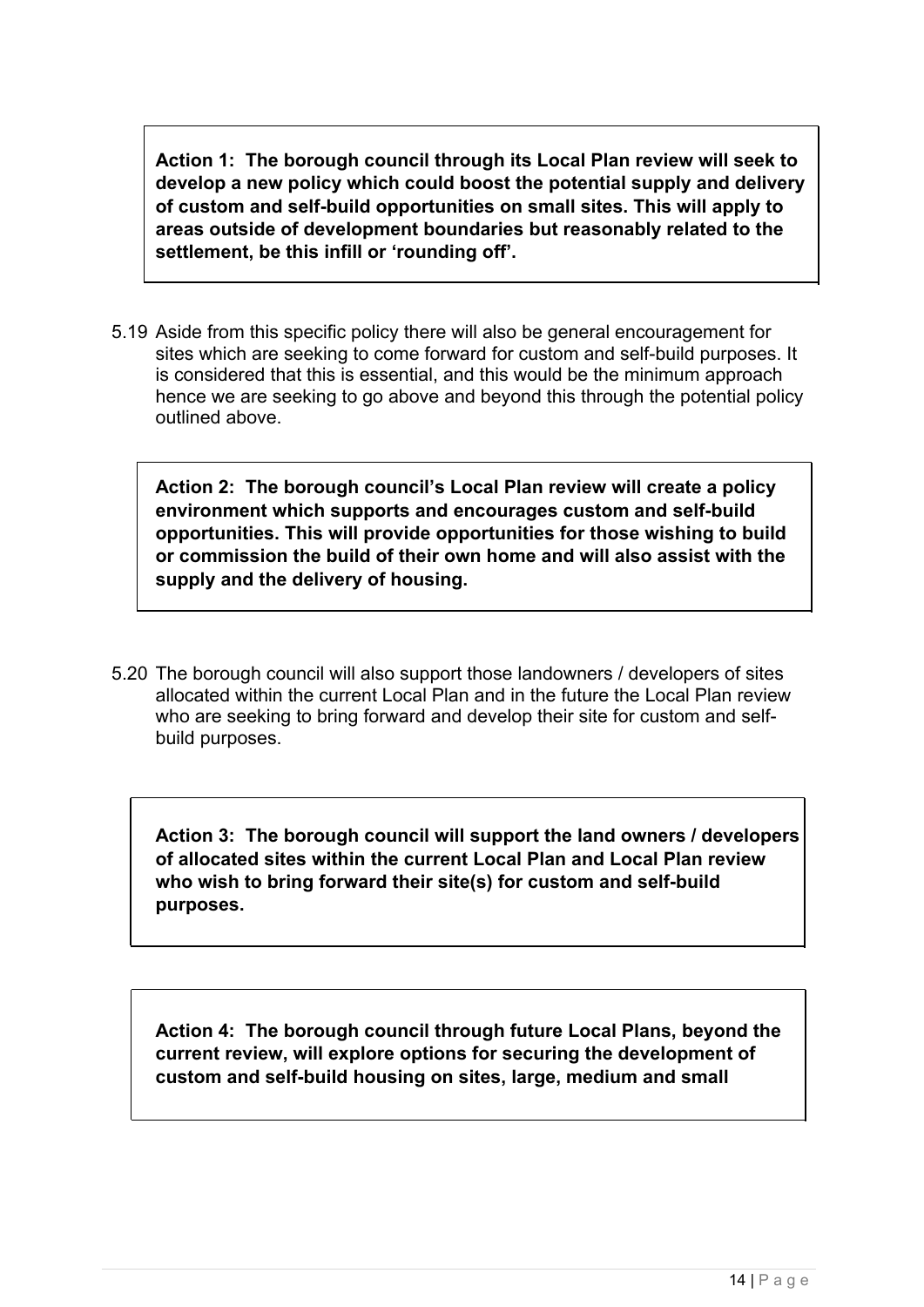**Action 1: The borough council through its Local Plan review will seek to develop a new policy which could boost the potential supply and delivery of custom and self-build opportunities on small sites. This will apply to areas outside of development boundaries but reasonably related to the settlement, be this infill or 'rounding off'.**

5.19 Aside from this specific policy there will also be general encouragement for sites which are seeking to come forward for custom and self-build purposes. It is considered that this is essential, and this would be the minimum approach hence we are seeking to go above and beyond this through the potential policy outlined above.

**Action 2: The borough council's Local Plan review will create a policy environment which supports and encourages custom and self-build opportunities. This will provide opportunities for those wishing to build or commission the build of their own home and will also assist with the supply and the delivery of housing.**

5.20 The borough council will also support those landowners / developers of sites allocated within the current Local Plan and in the future the Local Plan review who are seeking to bring forward and develop their site for custom and selfbuild purposes.

**Action 3: The borough council will support the land owners / developers of allocated sites within the current Local Plan and Local Plan review who wish to bring forward their site(s) for custom and self-build purposes.**

**Action 4: The borough council through future Local Plans, beyond the current review, will explore options for securing the development of custom and self-build housing on sites, large, medium and small**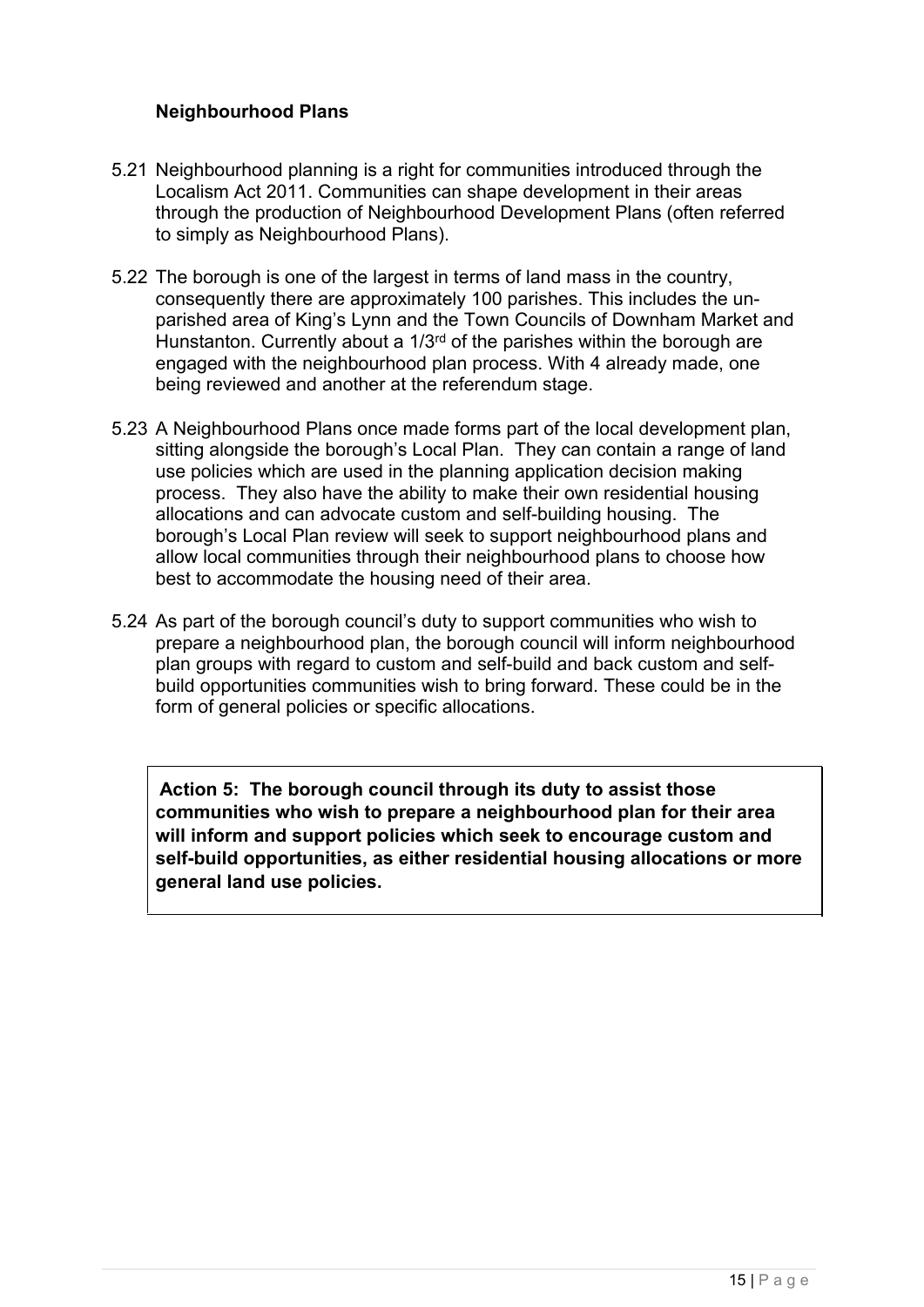## **Neighbourhood Plans**

- 5.21 Neighbourhood planning is a right for communities introduced through the Localism Act 2011. Communities can shape development in their areas through the production of Neighbourhood Development Plans (often referred to simply as Neighbourhood Plans).
- 5.22 The borough is one of the largest in terms of land mass in the country, consequently there are approximately 100 parishes. This includes the unparished area of King's Lynn and the Town Councils of Downham Market and Hunstanton. Currently about a 1/3<sup>rd</sup> of the parishes within the borough are engaged with the neighbourhood plan process. With 4 already made, one being reviewed and another at the referendum stage.
- 5.23 A Neighbourhood Plans once made forms part of the local development plan, sitting alongside the borough's Local Plan. They can contain a range of land use policies which are used in the planning application decision making process. They also have the ability to make their own residential housing allocations and can advocate custom and self-building housing. The borough's Local Plan review will seek to support neighbourhood plans and allow local communities through their neighbourhood plans to choose how best to accommodate the housing need of their area.
- 5.24 As part of the borough council's duty to support communities who wish to prepare a neighbourhood plan, the borough council will inform neighbourhood plan groups with regard to custom and self-build and back custom and selfbuild opportunities communities wish to bring forward. These could be in the form of general policies or specific allocations.

**Action 5: The borough council through its duty to assist those communities who wish to prepare a neighbourhood plan for their area will inform and support policies which seek to encourage custom and self-build opportunities, as either residential housing allocations or more general land use policies.**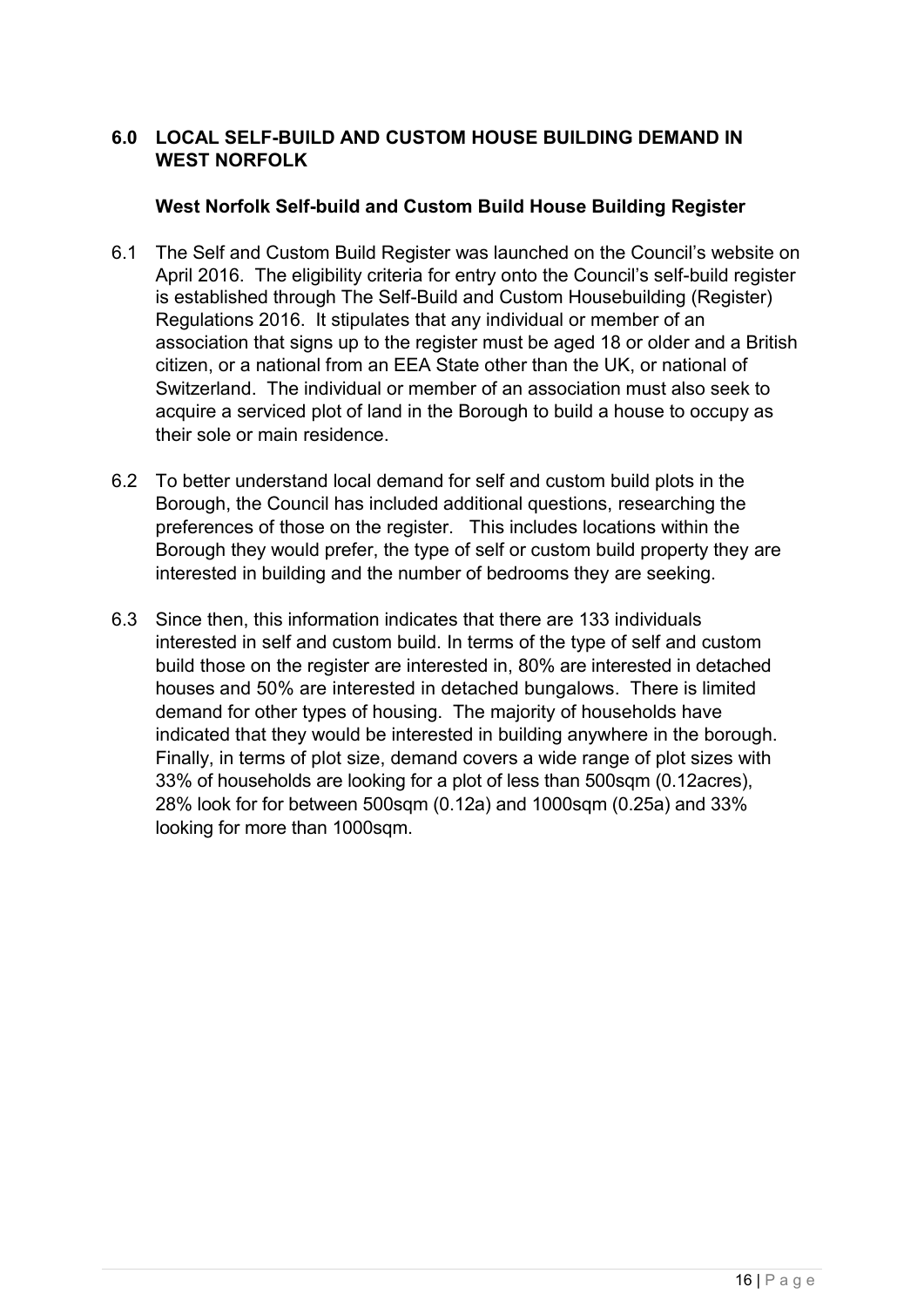## **6.0 LOCAL SELF-BUILD AND CUSTOM HOUSE BUILDING DEMAND IN WEST NORFOLK**

#### **West Norfolk Self-build and Custom Build House Building Register**

- 6.1 The Self and Custom Build Register was launched on the Council's website on April 2016. The eligibility criteria for entry onto the Council's self-build register is established through The Self-Build and Custom Housebuilding (Register) Regulations 2016. It stipulates that any individual or member of an association that signs up to the register must be aged 18 or older and a British citizen, or a national from an EEA State other than the UK, or national of Switzerland. The individual or member of an association must also seek to acquire a serviced plot of land in the Borough to build a house to occupy as their sole or main residence.
- 6.2 To better understand local demand for self and custom build plots in the Borough, the Council has included additional questions, researching the preferences of those on the register. This includes locations within the Borough they would prefer, the type of self or custom build property they are interested in building and the number of bedrooms they are seeking.
- 6.3 Since then, this information indicates that there are 133 individuals interested in self and custom build. In terms of the type of self and custom build those on the register are interested in, 80% are interested in detached houses and 50% are interested in detached bungalows. There is limited demand for other types of housing. The majority of households have indicated that they would be interested in building anywhere in the borough. Finally, in terms of plot size, demand covers a wide range of plot sizes with 33% of households are looking for a plot of less than 500sqm (0.12acres), 28% look for for between 500sqm (0.12a) and 1000sqm (0.25a) and 33% looking for more than 1000sqm.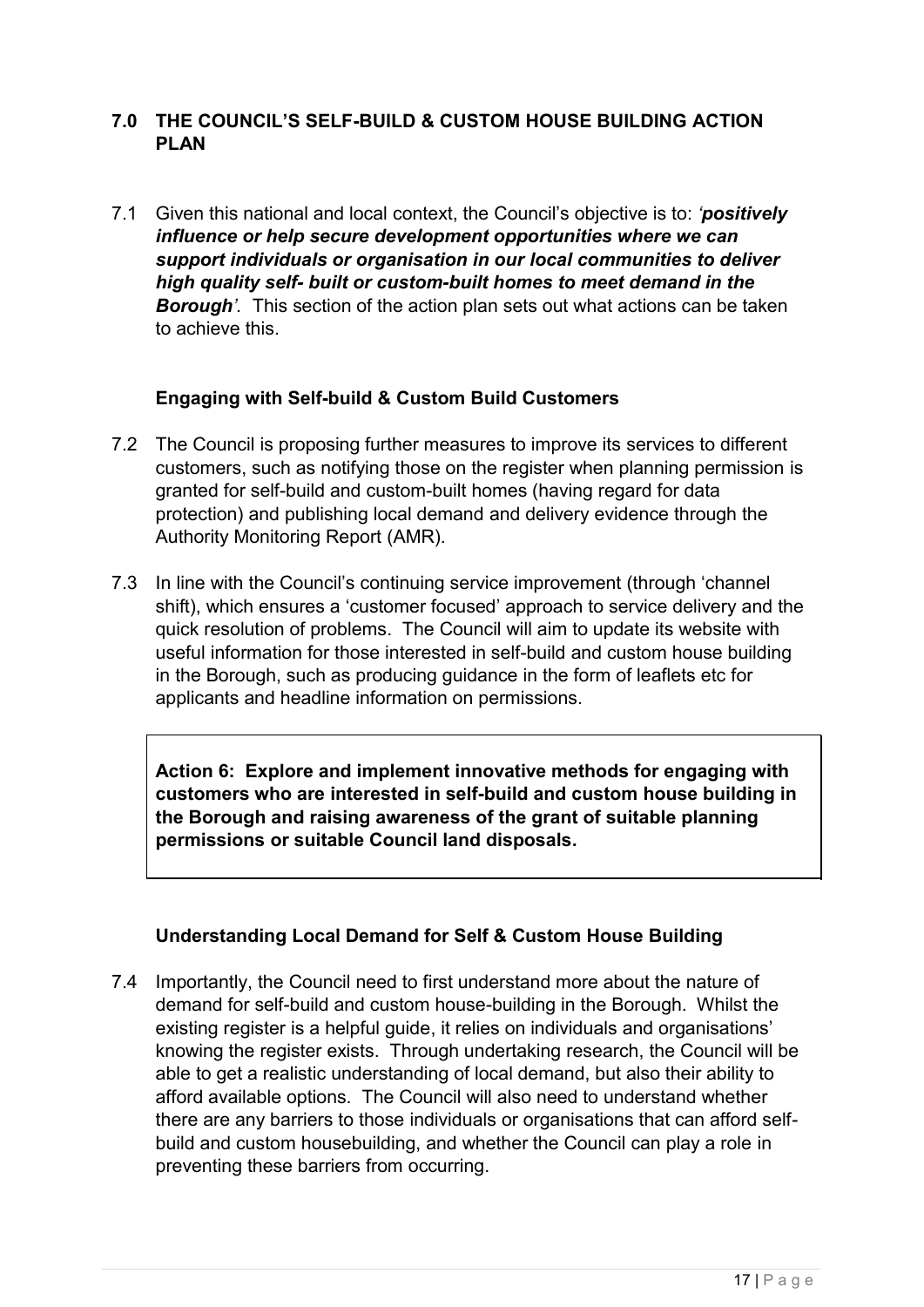## **7.0 THE COUNCIL'S SELF-BUILD & CUSTOM HOUSE BUILDING ACTION PLAN**

7.1 Given this national and local context, the Council's objective is to: *'positively influence or help secure development opportunities where we can support individuals or organisation in our local communities to deliver high quality self- built or custom-built homes to meet demand in the Borough'.* This section of the action plan sets out what actions can be taken to achieve this.

## **Engaging with Self-build & Custom Build Customers**

- 7.2 The Council is proposing further measures to improve its services to different customers, such as notifying those on the register when planning permission is granted for self-build and custom-built homes (having regard for data protection) and publishing local demand and delivery evidence through the Authority Monitoring Report (AMR).
- 7.3 In line with the Council's continuing service improvement (through 'channel shift), which ensures a 'customer focused' approach to service delivery and the quick resolution of problems. The Council will aim to update its website with useful information for those interested in self-build and custom house building in the Borough, such as producing guidance in the form of leaflets etc for applicants and headline information on permissions.

**Action 6: Explore and implement innovative methods for engaging with customers who are interested in self-build and custom house building in the Borough and raising awareness of the grant of suitable planning permissions or suitable Council land disposals.**

## **Understanding Local Demand for Self & Custom House Building**

7.4 Importantly, the Council need to first understand more about the nature of demand for self-build and custom house-building in the Borough. Whilst the existing register is a helpful guide, it relies on individuals and organisations' knowing the register exists. Through undertaking research, the Council will be able to get a realistic understanding of local demand, but also their ability to afford available options. The Council will also need to understand whether there are any barriers to those individuals or organisations that can afford selfbuild and custom housebuilding, and whether the Council can play a role in preventing these barriers from occurring.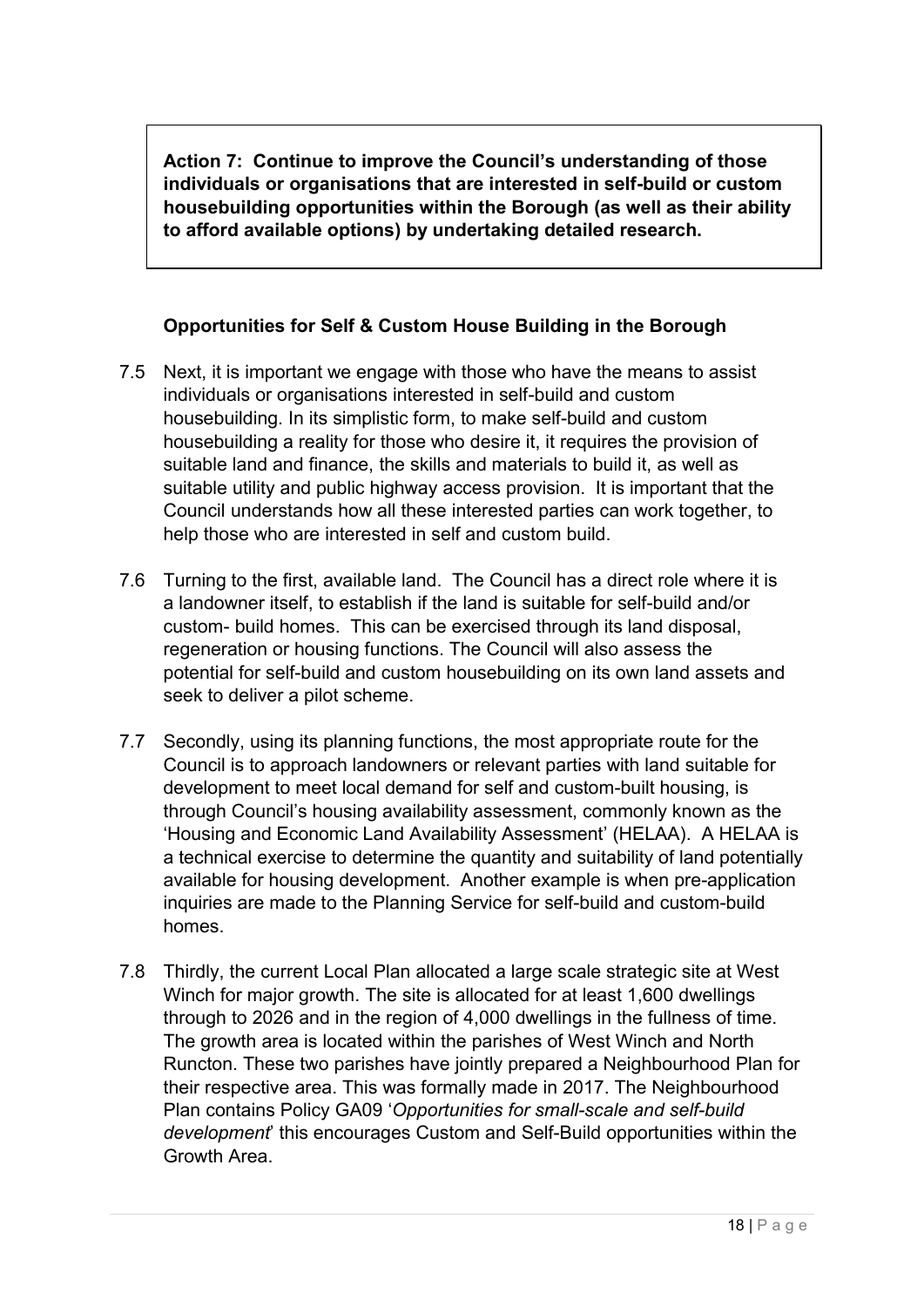**Action 7: Continue to improve the Council's understanding of those individuals or organisations that are interested in self-build or custom housebuilding opportunities within the Borough (as well as their ability to afford available options) by undertaking detailed research.**

# **Opportunities for Self & Custom House Building in the Borough**

- 7.5 Next, it is important we engage with those who have the means to assist individuals or organisations interested in self-build and custom housebuilding. In its simplistic form, to make self-build and custom housebuilding a reality for those who desire it, it requires the provision of suitable land and finance, the skills and materials to build it, as well as suitable utility and public highway access provision. It is important that the Council understands how all these interested parties can work together, to help those who are interested in self and custom build.
- 7.6 Turning to the first, available land. The Council has a direct role where it is a landowner itself, to establish if the land is suitable for self-build and/or custom- build homes. This can be exercised through its land disposal, regeneration or housing functions. The Council will also assess the potential for self-build and custom housebuilding on its own land assets and seek to deliver a pilot scheme.
- 7.7 Secondly, using its planning functions, the most appropriate route for the Council is to approach landowners or relevant parties with land suitable for development to meet local demand for self and custom-built housing, is through Council's housing availability assessment, commonly known as the 'Housing and Economic Land Availability Assessment' (HELAA). A HELAA is a technical exercise to determine the quantity and suitability of land potentially available for housing development. Another example is when pre-application inquiries are made to the Planning Service for self-build and custom-build homes.
- 7.8 Thirdly, the current Local Plan allocated a large scale strategic site at West Winch for major growth. The site is allocated for at least 1,600 dwellings through to 2026 and in the region of 4,000 dwellings in the fullness of time. The growth area is located within the parishes of West Winch and North Runcton. These two parishes have jointly prepared a Neighbourhood Plan for their respective area. This was formally made in 2017. The Neighbourhood Plan contains Policy GA09 '*Opportunities for small-scale and self-build development*' this encourages Custom and Self-Build opportunities within the Growth Area.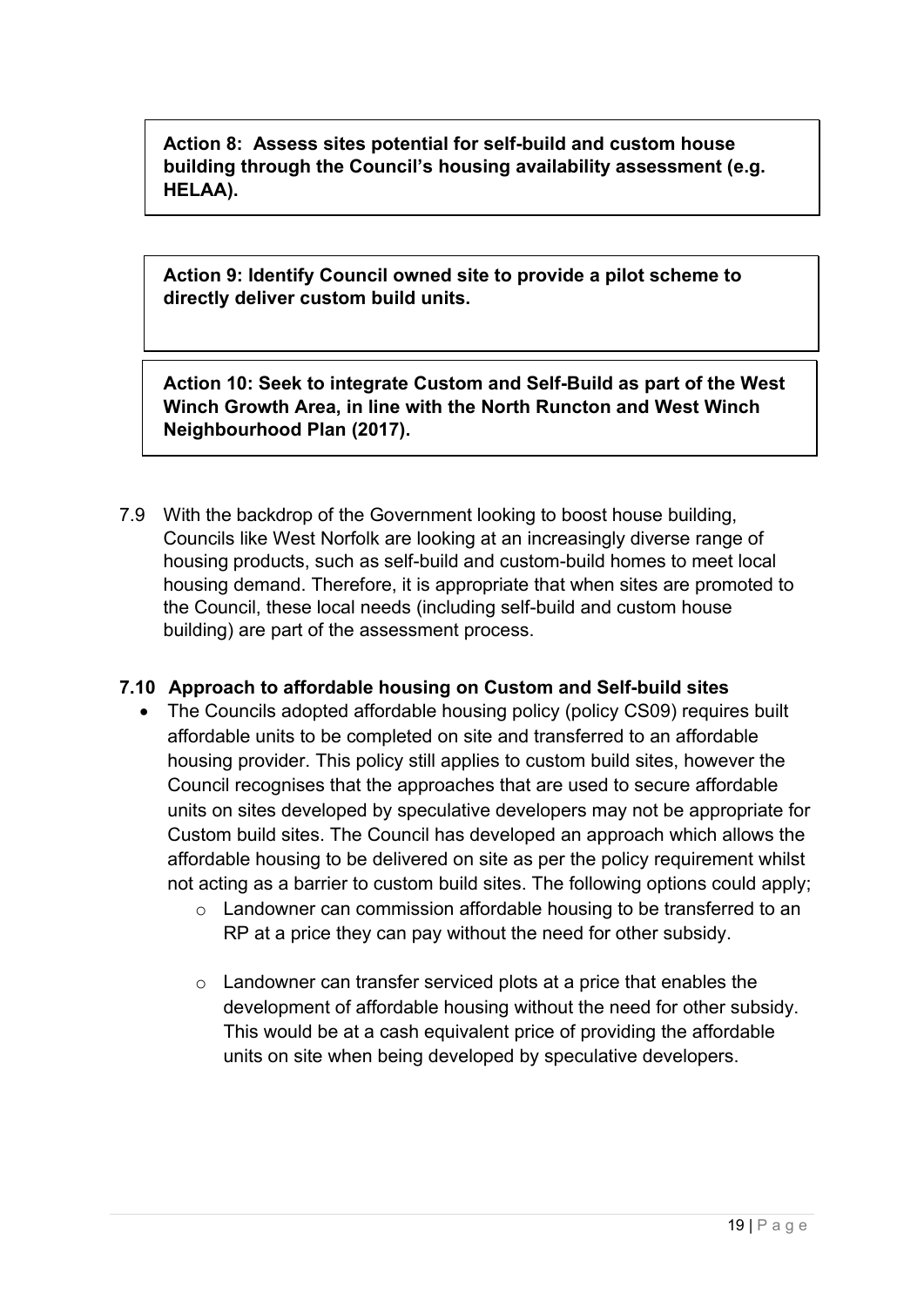**Action 8: Assess sites potential for self-build and custom house building through the Council's housing availability assessment (e.g. HELAA).**

**Action 9: Identify Council owned site to provide a pilot scheme to directly deliver custom build units.**

**Action 10: Seek to integrate Custom and Self-Build as part of the West Winch Growth Area, in line with the North Runcton and West Winch Neighbourhood Plan (2017).**

7.9 With the backdrop of the Government looking to boost house building, Councils like West Norfolk are looking at an increasingly diverse range of housing products, such as self-build and custom-build homes to meet local housing demand. Therefore, it is appropriate that when sites are promoted to the Council, these local needs (including self-build and custom house building) are part of the assessment process.

## **7.10 Approach to affordable housing on Custom and Self-build sites**

- The Councils adopted affordable housing policy (policy CS09) requires built affordable units to be completed on site and transferred to an affordable housing provider. This policy still applies to custom build sites, however the Council recognises that the approaches that are used to secure affordable units on sites developed by speculative developers may not be appropriate for Custom build sites. The Council has developed an approach which allows the affordable housing to be delivered on site as per the policy requirement whilst not acting as a barrier to custom build sites. The following options could apply;
	- o Landowner can commission affordable housing to be transferred to an RP at a price they can pay without the need for other subsidy.
	- o Landowner can transfer serviced plots at a price that enables the development of affordable housing without the need for other subsidy. This would be at a cash equivalent price of providing the affordable units on site when being developed by speculative developers.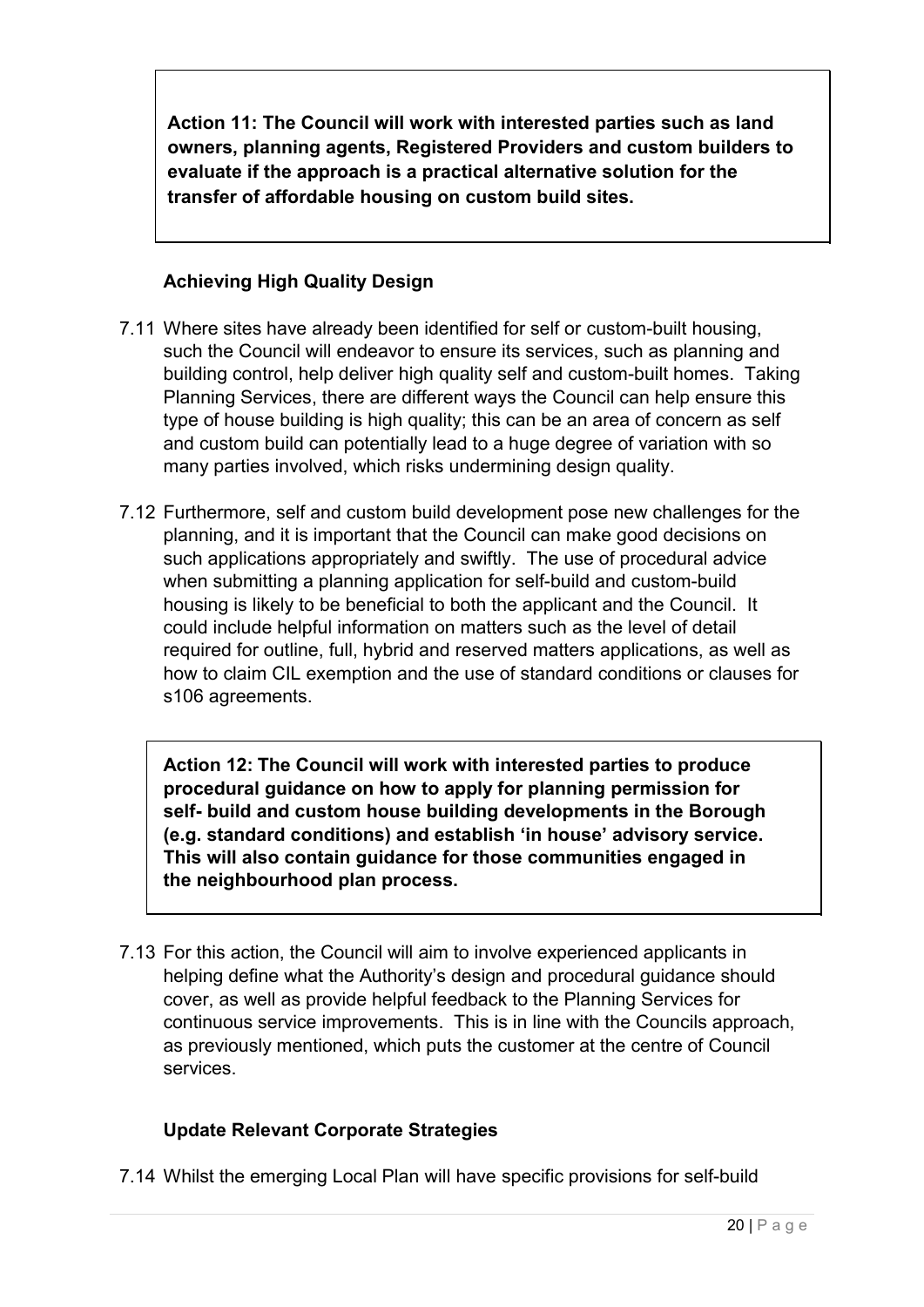**Action 11: The Council will work with interested parties such as land owners, planning agents, Registered Providers and custom builders to evaluate if the approach is a practical alternative solution for the transfer of affordable housing on custom build sites.**

# **Achieving High Quality Design**

- 7.11 Where sites have already been identified for self or custom-built housing, such the Council will endeavor to ensure its services, such as planning and building control, help deliver high quality self and custom-built homes. Taking Planning Services, there are different ways the Council can help ensure this type of house building is high quality; this can be an area of concern as self and custom build can potentially lead to a huge degree of variation with so many parties involved, which risks undermining design quality.
- 7.12 Furthermore, self and custom build development pose new challenges for the planning, and it is important that the Council can make good decisions on such applications appropriately and swiftly. The use of procedural advice when submitting a planning application for self-build and custom-build housing is likely to be beneficial to both the applicant and the Council. It could include helpful information on matters such as the level of detail required for outline, full, hybrid and reserved matters applications, as well as how to claim CIL exemption and the use of standard conditions or clauses for s106 agreements.

**Action 12: The Council will work with interested parties to produce procedural guidance on how to apply for planning permission for self- build and custom house building developments in the Borough (e.g. standard conditions) and establish 'in house' advisory service. This will also contain guidance for those communities engaged in the neighbourhood plan process.**

7.13 For this action, the Council will aim to involve experienced applicants in helping define what the Authority's design and procedural guidance should cover, as well as provide helpful feedback to the Planning Services for continuous service improvements. This is in line with the Councils approach, as previously mentioned, which puts the customer at the centre of Council services.

# **Update Relevant Corporate Strategies**

7.14 Whilst the emerging Local Plan will have specific provisions for self-build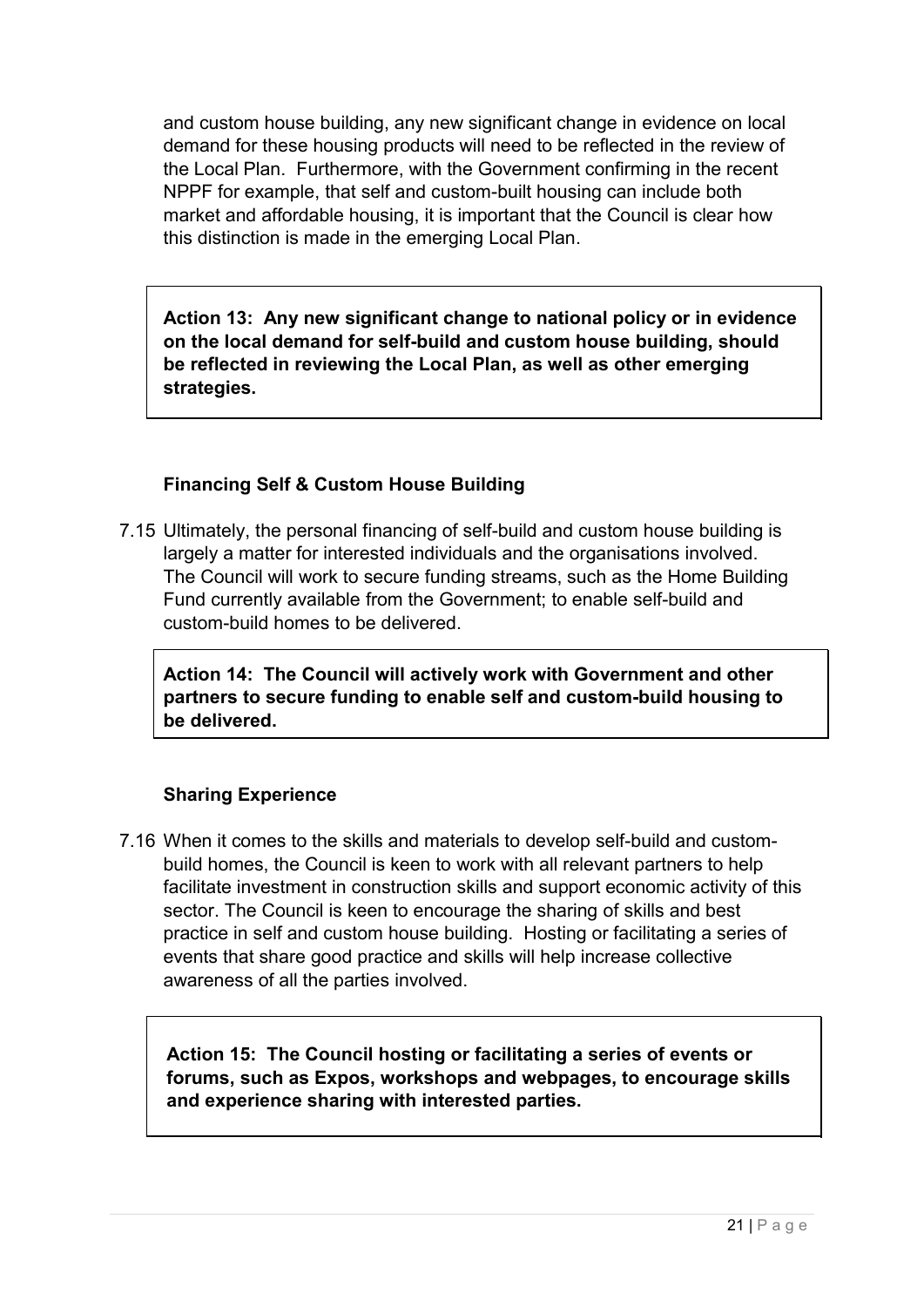and custom house building, any new significant change in evidence on local demand for these housing products will need to be reflected in the review of the Local Plan. Furthermore, with the Government confirming in the recent NPPF for example, that self and custom-built housing can include both market and affordable housing, it is important that the Council is clear how this distinction is made in the emerging Local Plan.

**Action 13: Any new significant change to national policy or in evidence on the local demand for self-build and custom house building, should be reflected in reviewing the Local Plan, as well as other emerging strategies.**

## **Financing Self & Custom House Building**

7.15 Ultimately, the personal financing of self-build and custom house building is largely a matter for interested individuals and the organisations involved. The Council will work to secure funding streams, such as the Home Building Fund currently available from the Government; to enable self-build and custom-build homes to be delivered.

**Action 14: The Council will actively work with Government and other partners to secure funding to enable self and custom-build housing to be delivered.**

## **Sharing Experience**

7.16 When it comes to the skills and materials to develop self-build and custombuild homes, the Council is keen to work with all relevant partners to help facilitate investment in construction skills and support economic activity of this sector. The Council is keen to encourage the sharing of skills and best practice in self and custom house building. Hosting or facilitating a series of events that share good practice and skills will help increase collective awareness of all the parties involved.

**Action 15: The Council hosting or facilitating a series of events or forums, such as Expos, workshops and webpages, to encourage skills and experience sharing with interested parties.**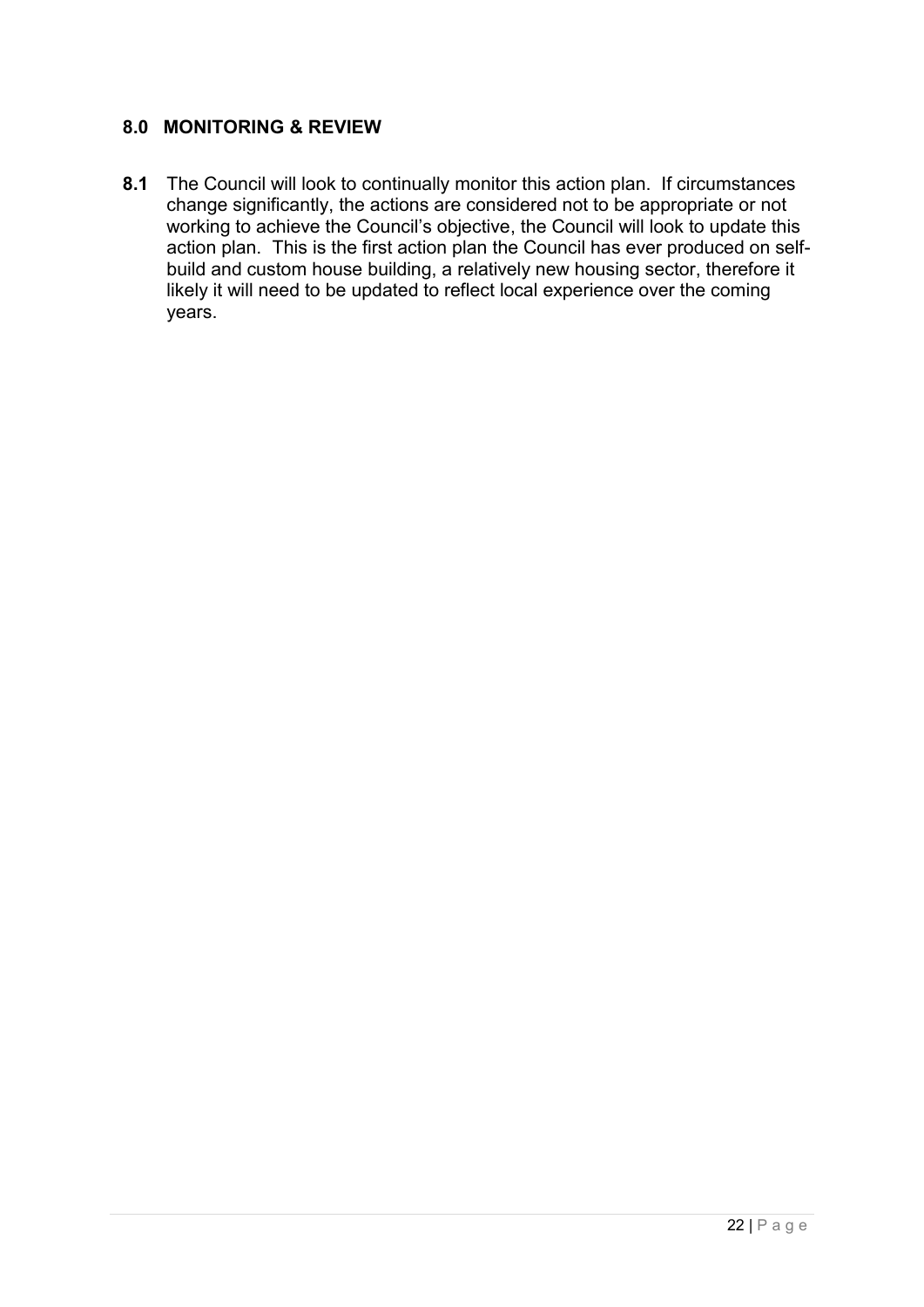## **8.0 MONITORING & REVIEW**

**8.1** The Council will look to continually monitor this action plan. If circumstances change significantly, the actions are considered not to be appropriate or not working to achieve the Council's objective, the Council will look to update this action plan. This is the first action plan the Council has ever produced on selfbuild and custom house building, a relatively new housing sector, therefore it likely it will need to be updated to reflect local experience over the coming years.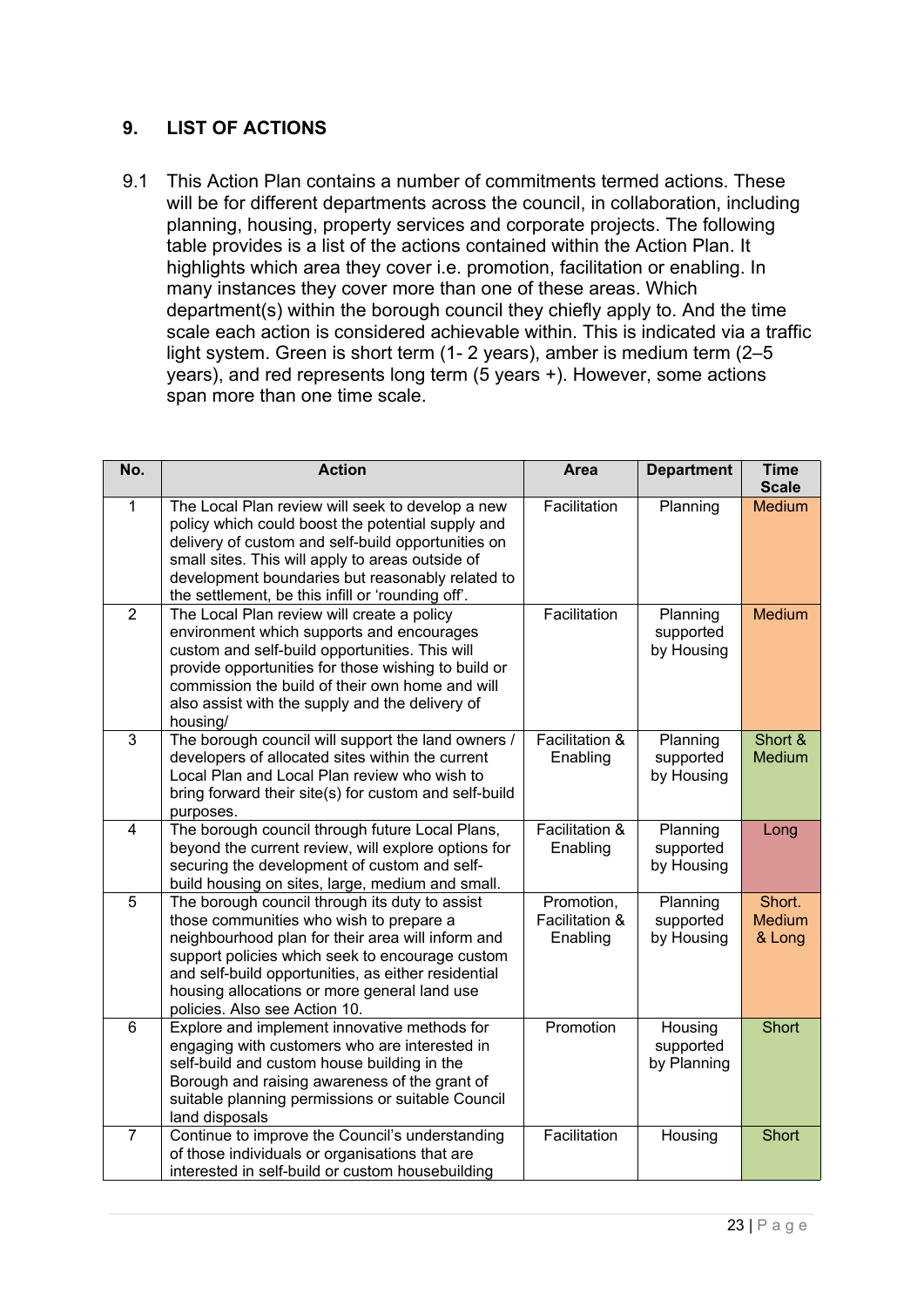## **9. LIST OF ACTIONS**

9.1 This Action Plan contains a number of commitments termed actions. These will be for different departments across the council, in collaboration, including planning, housing, property services and corporate projects. The following table provides is a list of the actions contained within the Action Plan. It highlights which area they cover i.e. promotion, facilitation or enabling. In many instances they cover more than one of these areas. Which department(s) within the borough council they chiefly apply to. And the time scale each action is considered achievable within. This is indicated via a traffic light system. Green is short term (1- 2 years), amber is medium term (2–5 years), and red represents long term (5 years +). However, some actions span more than one time scale.

| No.            | <b>Action</b>                                                                                                                                                                                                                                                                                                                             | <b>Area</b>                              | <b>Department</b>                   | <b>Time</b><br><b>Scale</b>       |
|----------------|-------------------------------------------------------------------------------------------------------------------------------------------------------------------------------------------------------------------------------------------------------------------------------------------------------------------------------------------|------------------------------------------|-------------------------------------|-----------------------------------|
| $\mathbf{1}$   | The Local Plan review will seek to develop a new<br>policy which could boost the potential supply and<br>delivery of custom and self-build opportunities on<br>small sites. This will apply to areas outside of<br>development boundaries but reasonably related to<br>the settlement, be this infill or 'rounding off'.                  | Facilitation                             | Planning                            | <b>Medium</b>                     |
| $\overline{2}$ | The Local Plan review will create a policy<br>environment which supports and encourages<br>custom and self-build opportunities. This will<br>provide opportunities for those wishing to build or<br>commission the build of their own home and will<br>also assist with the supply and the delivery of<br>housing/                        | Facilitation                             | Planning<br>supported<br>by Housing | <b>Medium</b>                     |
| 3              | The borough council will support the land owners /<br>developers of allocated sites within the current<br>Local Plan and Local Plan review who wish to<br>bring forward their site(s) for custom and self-build<br>purposes.                                                                                                              | Facilitation &<br>Enabling               | Planning<br>supported<br>by Housing | Short &<br><b>Medium</b>          |
| $\overline{4}$ | The borough council through future Local Plans,<br>beyond the current review, will explore options for<br>securing the development of custom and self-<br>build housing on sites, large, medium and small.                                                                                                                                | Facilitation &<br>Enabling               | Planning<br>supported<br>by Housing | Long                              |
| 5              | The borough council through its duty to assist<br>those communities who wish to prepare a<br>neighbourhood plan for their area will inform and<br>support policies which seek to encourage custom<br>and self-build opportunities, as either residential<br>housing allocations or more general land use<br>policies. Also see Action 10. | Promotion,<br>Facilitation &<br>Enabling | Planning<br>supported<br>by Housing | Short.<br><b>Medium</b><br>& Long |
| 6              | Explore and implement innovative methods for<br>engaging with customers who are interested in<br>self-build and custom house building in the<br>Borough and raising awareness of the grant of<br>suitable planning permissions or suitable Council<br>land disposals                                                                      | Promotion                                | Housing<br>supported<br>by Planning | <b>Short</b>                      |
| $\overline{7}$ | Continue to improve the Council's understanding<br>of those individuals or organisations that are<br>interested in self-build or custom housebuilding                                                                                                                                                                                     | Facilitation                             | Housing                             | <b>Short</b>                      |